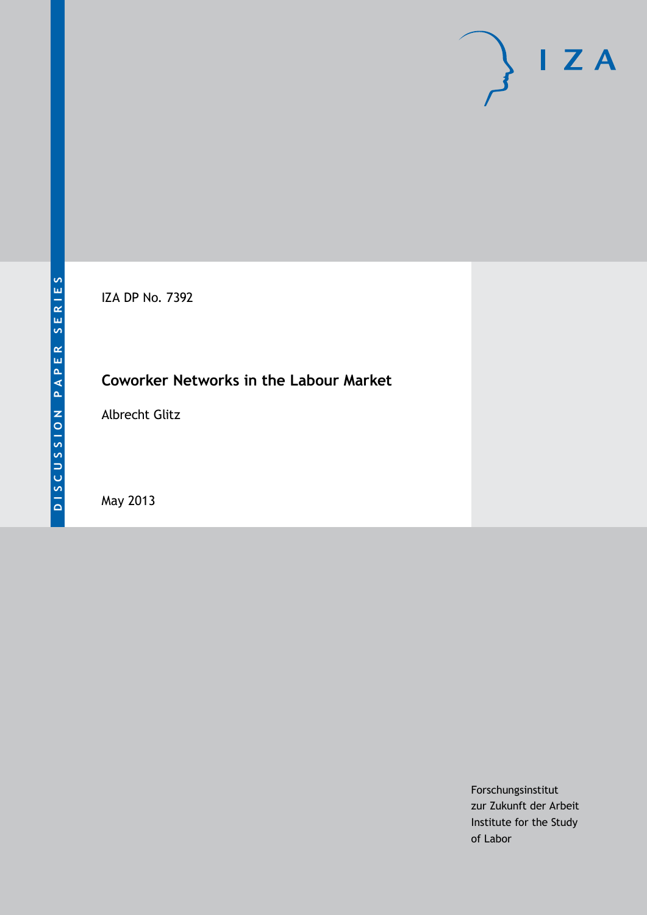# $I Z A$

IZA DP No. 7392

# **Coworker Networks in the Labour Market**

Albrecht Glitz

May 2013

Forschungsinstitut zur Zukunft der Arbeit Institute for the Study of Labor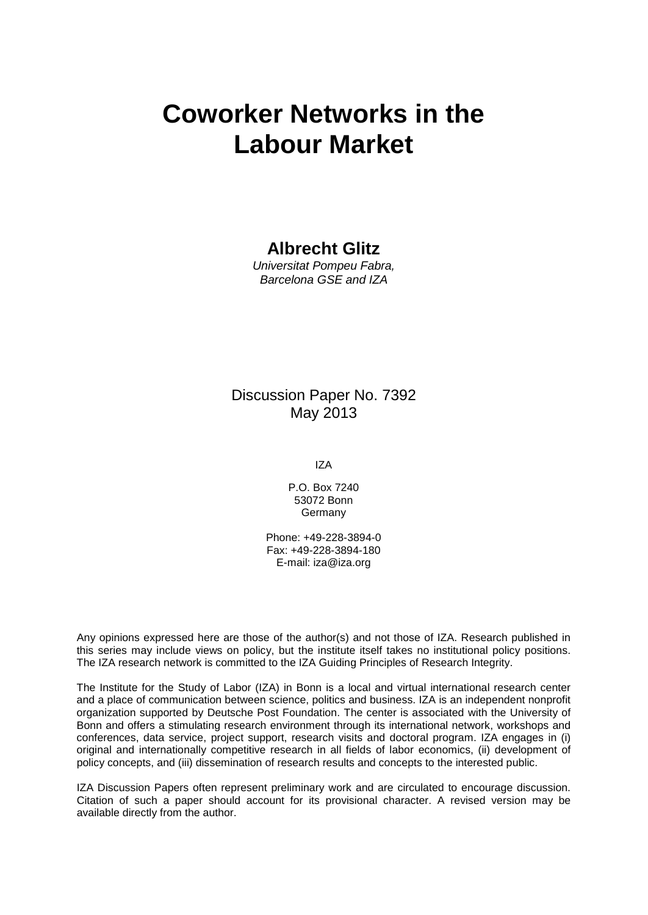# **Coworker Networks in the Labour Market**

## **Albrecht Glitz**

*Universitat Pompeu Fabra, Barcelona GSE and IZA*

## Discussion Paper No. 7392 May 2013

IZA

P.O. Box 7240 53072 Bonn **Germany** 

Phone: +49-228-3894-0 Fax: +49-228-3894-180 E-mail: [iza@iza.org](mailto:iza@iza.org)

Any opinions expressed here are those of the author(s) and not those of IZA. Research published in this series may include views on policy, but the institute itself takes no institutional policy positions. The IZA research network is committed to the IZA Guiding Principles of Research Integrity.

The Institute for the Study of Labor (IZA) in Bonn is a local and virtual international research center and a place of communication between science, politics and business. IZA is an independent nonprofit organization supported by Deutsche Post Foundation. The center is associated with the University of Bonn and offers a stimulating research environment through its international network, workshops and conferences, data service, project support, research visits and doctoral program. IZA engages in (i) original and internationally competitive research in all fields of labor economics, (ii) development of policy concepts, and (iii) dissemination of research results and concepts to the interested public.

<span id="page-1-0"></span>IZA Discussion Papers often represent preliminary work and are circulated to encourage discussion. Citation of such a paper should account for its provisional character. A revised version may be available directly from the author.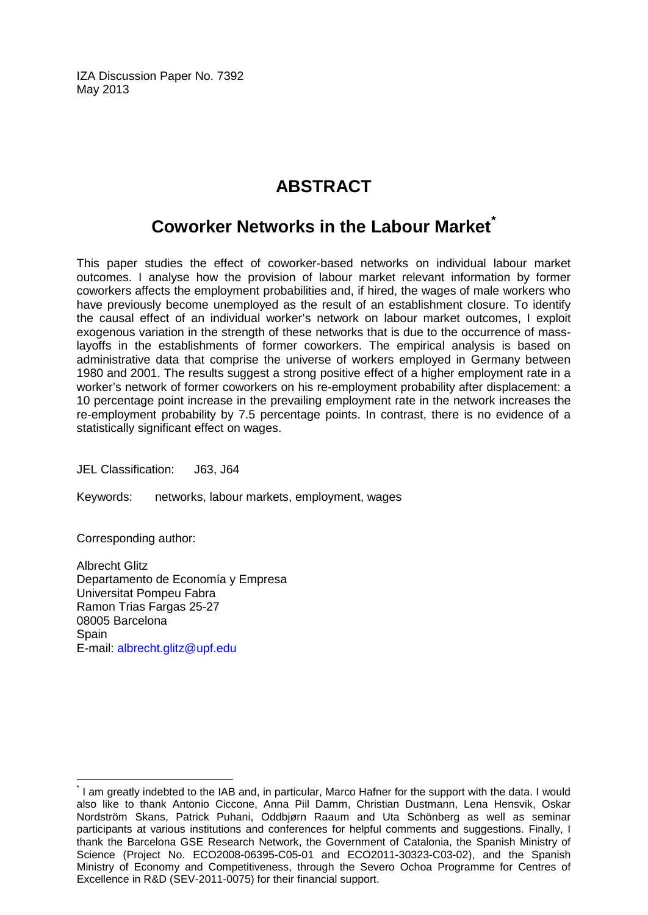IZA Discussion Paper No. 7392 May 2013

# **ABSTRACT**

# **Coworker Networks in the Labour Market[\\*](#page-1-0)**

This paper studies the effect of coworker-based networks on individual labour market outcomes. I analyse how the provision of labour market relevant information by former coworkers affects the employment probabilities and, if hired, the wages of male workers who have previously become unemployed as the result of an establishment closure. To identify the causal effect of an individual worker's network on labour market outcomes, I exploit exogenous variation in the strength of these networks that is due to the occurrence of masslayoffs in the establishments of former coworkers. The empirical analysis is based on administrative data that comprise the universe of workers employed in Germany between 1980 and 2001. The results suggest a strong positive effect of a higher employment rate in a worker's network of former coworkers on his re-employment probability after displacement: a 10 percentage point increase in the prevailing employment rate in the network increases the re-employment probability by 7.5 percentage points. In contrast, there is no evidence of a statistically significant effect on wages.

JEL Classification: J63, J64

Keywords: networks, labour markets, employment, wages

Corresponding author:

Albrecht Glitz Departamento de Economía y Empresa Universitat Pompeu Fabra Ramon Trias Fargas 25-27 08005 Barcelona **Spain** E-mail: [albrecht.glitz@upf.edu](mailto:albrecht.glitz@upf.edu)

\* I am greatly indebted to the IAB and, in particular, Marco Hafner for the support with the data. I would also like to thank Antonio Ciccone, Anna Piil Damm, Christian Dustmann, Lena Hensvik, Oskar Nordström Skans, Patrick Puhani, Oddbjørn Raaum and Uta Schönberg as well as seminar participants at various institutions and conferences for helpful comments and suggestions. Finally, I thank the Barcelona GSE Research Network, the Government of Catalonia, the Spanish Ministry of Science (Project No. ECO2008-06395-C05-01 and ECO2011-30323-C03-02), and the Spanish Ministry of Economy and Competitiveness, through the Severo Ochoa Programme for Centres of Excellence in R&D (SEV-2011-0075) for their financial support.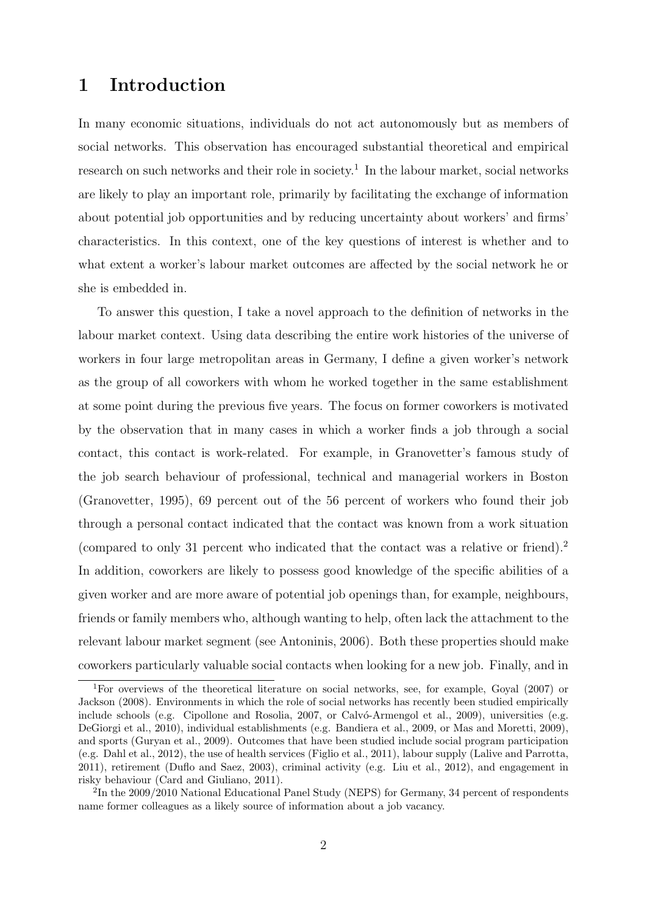# 1 Introduction

In many economic situations, individuals do not act autonomously but as members of social networks. This observation has encouraged substantial theoretical and empirical research on such networks and their role in society.<sup>1</sup> In the labour market, social networks are likely to play an important role, primarily by facilitating the exchange of information about potential job opportunities and by reducing uncertainty about workers' and firms' characteristics. In this context, one of the key questions of interest is whether and to what extent a worker's labour market outcomes are affected by the social network he or she is embedded in.

To answer this question, I take a novel approach to the definition of networks in the labour market context. Using data describing the entire work histories of the universe of workers in four large metropolitan areas in Germany, I define a given worker's network as the group of all coworkers with whom he worked together in the same establishment at some point during the previous five years. The focus on former coworkers is motivated by the observation that in many cases in which a worker finds a job through a social contact, this contact is work-related. For example, in Granovetter's famous study of the job search behaviour of professional, technical and managerial workers in Boston (Granovetter, 1995), 69 percent out of the 56 percent of workers who found their job through a personal contact indicated that the contact was known from a work situation (compared to only 31 percent who indicated that the contact was a relative or friend).<sup>2</sup> In addition, coworkers are likely to possess good knowledge of the specific abilities of a given worker and are more aware of potential job openings than, for example, neighbours, friends or family members who, although wanting to help, often lack the attachment to the relevant labour market segment (see Antoninis, 2006). Both these properties should make coworkers particularly valuable social contacts when looking for a new job. Finally, and in

<sup>1</sup>For overviews of the theoretical literature on social networks, see, for example, Goyal (2007) or Jackson (2008). Environments in which the role of social networks has recently been studied empirically include schools (e.g. Cipollone and Rosolia, 2007, or Calvó-Armengol et al., 2009), universities (e.g. DeGiorgi et al., 2010), individual establishments (e.g. Bandiera et al., 2009, or Mas and Moretti, 2009), and sports (Guryan et al., 2009). Outcomes that have been studied include social program participation (e.g. Dahl et al., 2012), the use of health services (Figlio et al., 2011), labour supply (Lalive and Parrotta, 2011), retirement (Duflo and Saez, 2003), criminal activity (e.g. Liu et al., 2012), and engagement in risky behaviour (Card and Giuliano, 2011).

<sup>&</sup>lt;sup>2</sup>In the 2009/2010 National Educational Panel Study (NEPS) for Germany, 34 percent of respondents name former colleagues as a likely source of information about a job vacancy.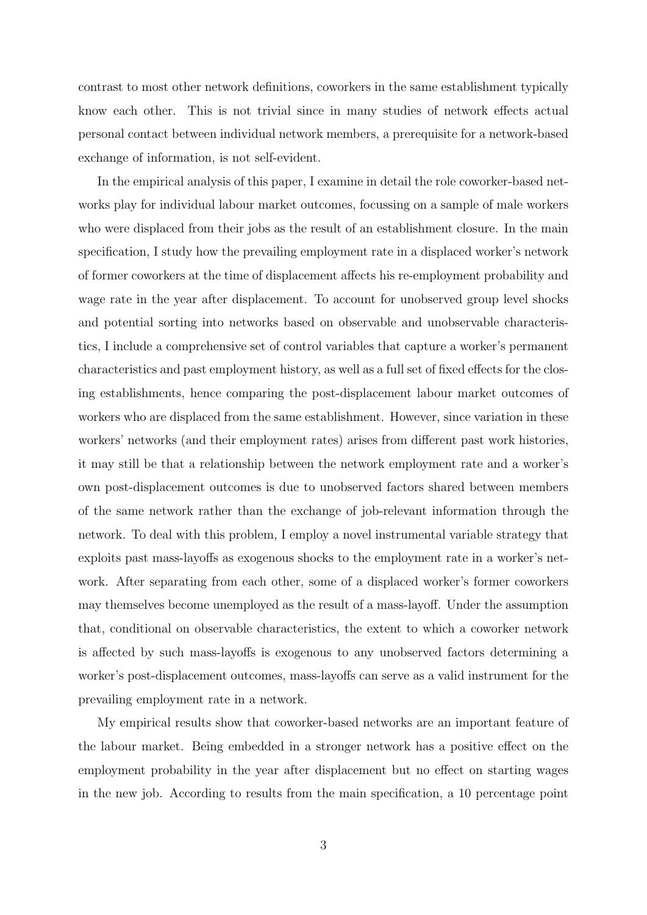contrast to most other network definitions, coworkers in the same establishment typically know each other. This is not trivial since in many studies of network effects actual personal contact between individual network members, a prerequisite for a network-based exchange of information, is not self-evident.

In the empirical analysis of this paper, I examine in detail the role coworker-based networks play for individual labour market outcomes, focussing on a sample of male workers who were displaced from their jobs as the result of an establishment closure. In the main specification, I study how the prevailing employment rate in a displaced worker's network of former coworkers at the time of displacement affects his re-employment probability and wage rate in the year after displacement. To account for unobserved group level shocks and potential sorting into networks based on observable and unobservable characteristics, I include a comprehensive set of control variables that capture a worker's permanent characteristics and past employment history, as well as a full set of fixed effects for the closing establishments, hence comparing the post-displacement labour market outcomes of workers who are displaced from the same establishment. However, since variation in these workers' networks (and their employment rates) arises from different past work histories, it may still be that a relationship between the network employment rate and a worker's own post-displacement outcomes is due to unobserved factors shared between members of the same network rather than the exchange of job-relevant information through the network. To deal with this problem, I employ a novel instrumental variable strategy that exploits past mass-layoffs as exogenous shocks to the employment rate in a worker's network. After separating from each other, some of a displaced worker's former coworkers may themselves become unemployed as the result of a mass-layoff. Under the assumption that, conditional on observable characteristics, the extent to which a coworker network is affected by such mass-layoffs is exogenous to any unobserved factors determining a worker's post-displacement outcomes, mass-layoffs can serve as a valid instrument for the prevailing employment rate in a network.

My empirical results show that coworker-based networks are an important feature of the labour market. Being embedded in a stronger network has a positive effect on the employment probability in the year after displacement but no effect on starting wages in the new job. According to results from the main specification, a 10 percentage point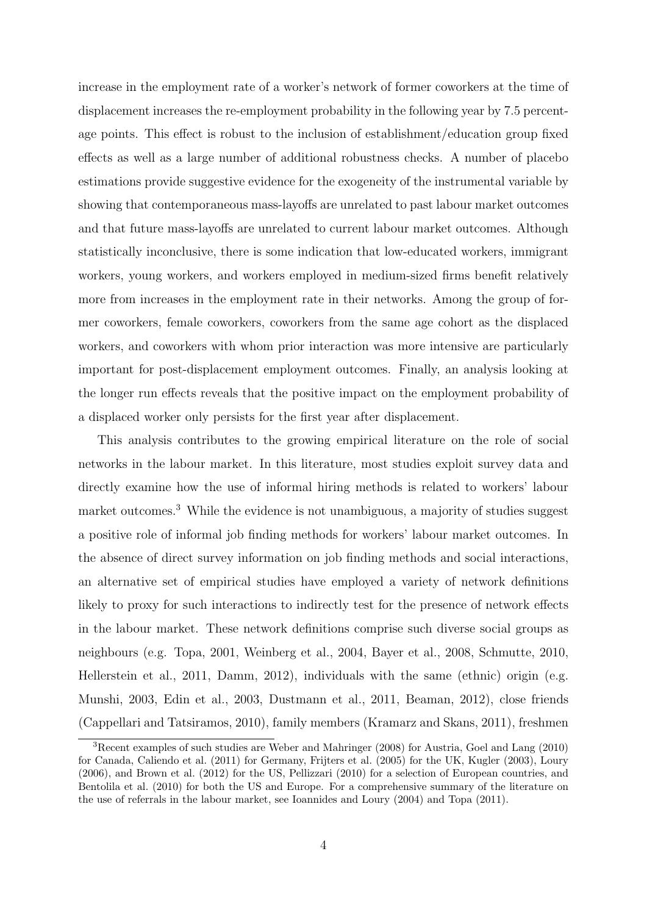increase in the employment rate of a worker's network of former coworkers at the time of displacement increases the re-employment probability in the following year by 7.5 percentage points. This effect is robust to the inclusion of establishment/education group fixed effects as well as a large number of additional robustness checks. A number of placebo estimations provide suggestive evidence for the exogeneity of the instrumental variable by showing that contemporaneous mass-layoffs are unrelated to past labour market outcomes and that future mass-layoffs are unrelated to current labour market outcomes. Although statistically inconclusive, there is some indication that low-educated workers, immigrant workers, young workers, and workers employed in medium-sized firms benefit relatively more from increases in the employment rate in their networks. Among the group of former coworkers, female coworkers, coworkers from the same age cohort as the displaced workers, and coworkers with whom prior interaction was more intensive are particularly important for post-displacement employment outcomes. Finally, an analysis looking at the longer run effects reveals that the positive impact on the employment probability of a displaced worker only persists for the first year after displacement.

This analysis contributes to the growing empirical literature on the role of social networks in the labour market. In this literature, most studies exploit survey data and directly examine how the use of informal hiring methods is related to workers' labour market outcomes.<sup>3</sup> While the evidence is not unambiguous, a majority of studies suggest a positive role of informal job finding methods for workers' labour market outcomes. In the absence of direct survey information on job finding methods and social interactions, an alternative set of empirical studies have employed a variety of network definitions likely to proxy for such interactions to indirectly test for the presence of network effects in the labour market. These network definitions comprise such diverse social groups as neighbours (e.g. Topa, 2001, Weinberg et al., 2004, Bayer et al., 2008, Schmutte, 2010, Hellerstein et al., 2011, Damm, 2012), individuals with the same (ethnic) origin (e.g. Munshi, 2003, Edin et al., 2003, Dustmann et al., 2011, Beaman, 2012), close friends (Cappellari and Tatsiramos, 2010), family members (Kramarz and Skans, 2011), freshmen

<sup>3</sup>Recent examples of such studies are Weber and Mahringer (2008) for Austria, Goel and Lang (2010) for Canada, Caliendo et al. (2011) for Germany, Frijters et al. (2005) for the UK, Kugler (2003), Loury (2006), and Brown et al. (2012) for the US, Pellizzari (2010) for a selection of European countries, and Bentolila et al. (2010) for both the US and Europe. For a comprehensive summary of the literature on the use of referrals in the labour market, see Ioannides and Loury (2004) and Topa (2011).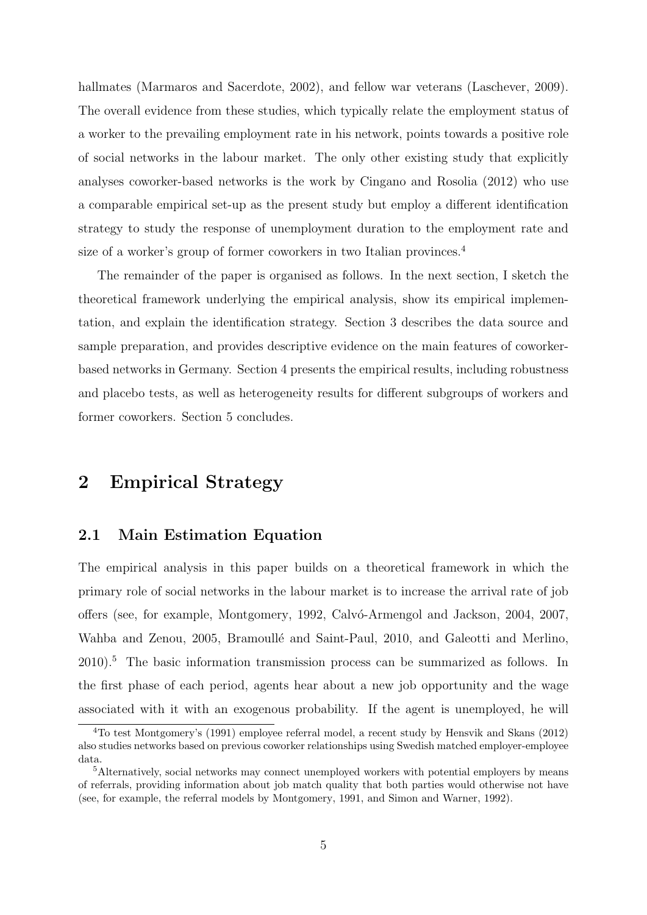hallmates (Marmaros and Sacerdote, 2002), and fellow war veterans (Laschever, 2009). The overall evidence from these studies, which typically relate the employment status of a worker to the prevailing employment rate in his network, points towards a positive role of social networks in the labour market. The only other existing study that explicitly analyses coworker-based networks is the work by Cingano and Rosolia (2012) who use a comparable empirical set-up as the present study but employ a different identification strategy to study the response of unemployment duration to the employment rate and size of a worker's group of former coworkers in two Italian provinces.<sup>4</sup>

The remainder of the paper is organised as follows. In the next section, I sketch the theoretical framework underlying the empirical analysis, show its empirical implementation, and explain the identification strategy. Section 3 describes the data source and sample preparation, and provides descriptive evidence on the main features of coworkerbased networks in Germany. Section 4 presents the empirical results, including robustness and placebo tests, as well as heterogeneity results for different subgroups of workers and former coworkers. Section 5 concludes.

# 2 Empirical Strategy

#### 2.1 Main Estimation Equation

The empirical analysis in this paper builds on a theoretical framework in which the primary role of social networks in the labour market is to increase the arrival rate of job offers (see, for example, Montgomery, 1992, Calv´o-Armengol and Jackson, 2004, 2007, Wahba and Zenou, 2005, Bramoullé and Saint-Paul, 2010, and Galeotti and Merlino, 2010).<sup>5</sup> The basic information transmission process can be summarized as follows. In the first phase of each period, agents hear about a new job opportunity and the wage associated with it with an exogenous probability. If the agent is unemployed, he will

<sup>4</sup>To test Montgomery's (1991) employee referral model, a recent study by Hensvik and Skans (2012) also studies networks based on previous coworker relationships using Swedish matched employer-employee data.

<sup>&</sup>lt;sup>5</sup>Alternatively, social networks may connect unemployed workers with potential employers by means of referrals, providing information about job match quality that both parties would otherwise not have (see, for example, the referral models by Montgomery, 1991, and Simon and Warner, 1992).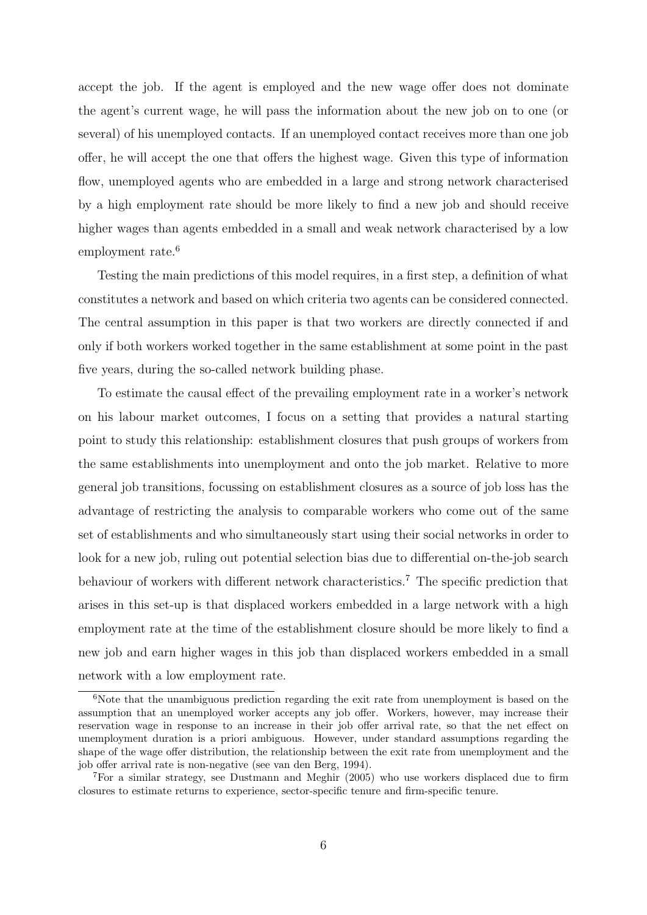accept the job. If the agent is employed and the new wage offer does not dominate the agent's current wage, he will pass the information about the new job on to one (or several) of his unemployed contacts. If an unemployed contact receives more than one job offer, he will accept the one that offers the highest wage. Given this type of information flow, unemployed agents who are embedded in a large and strong network characterised by a high employment rate should be more likely to find a new job and should receive higher wages than agents embedded in a small and weak network characterised by a low employment rate.<sup>6</sup>

Testing the main predictions of this model requires, in a first step, a definition of what constitutes a network and based on which criteria two agents can be considered connected. The central assumption in this paper is that two workers are directly connected if and only if both workers worked together in the same establishment at some point in the past five years, during the so-called network building phase.

To estimate the causal effect of the prevailing employment rate in a worker's network on his labour market outcomes, I focus on a setting that provides a natural starting point to study this relationship: establishment closures that push groups of workers from the same establishments into unemployment and onto the job market. Relative to more general job transitions, focussing on establishment closures as a source of job loss has the advantage of restricting the analysis to comparable workers who come out of the same set of establishments and who simultaneously start using their social networks in order to look for a new job, ruling out potential selection bias due to differential on-the-job search behaviour of workers with different network characteristics.<sup>7</sup> The specific prediction that arises in this set-up is that displaced workers embedded in a large network with a high employment rate at the time of the establishment closure should be more likely to find a new job and earn higher wages in this job than displaced workers embedded in a small network with a low employment rate.

 $6$ Note that the unambiguous prediction regarding the exit rate from unemployment is based on the assumption that an unemployed worker accepts any job offer. Workers, however, may increase their reservation wage in response to an increase in their job offer arrival rate, so that the net effect on unemployment duration is a priori ambiguous. However, under standard assumptions regarding the shape of the wage offer distribution, the relationship between the exit rate from unemployment and the job offer arrival rate is non-negative (see van den Berg, 1994).

<sup>7</sup>For a similar strategy, see Dustmann and Meghir (2005) who use workers displaced due to firm closures to estimate returns to experience, sector-specific tenure and firm-specific tenure.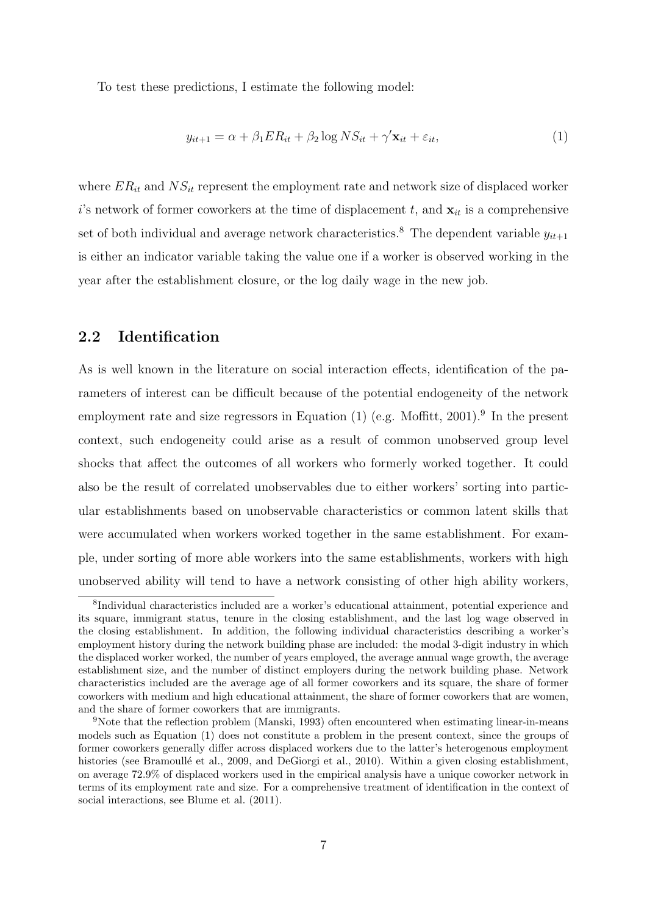To test these predictions, I estimate the following model:

$$
y_{it+1} = \alpha + \beta_1 ER_{it} + \beta_2 \log NS_{it} + \gamma' \mathbf{x}_{it} + \varepsilon_{it},\tag{1}
$$

where  $ER_{it}$  and  $NS_{it}$  represent the employment rate and network size of displaced worker i's network of former coworkers at the time of displacement t, and  $\mathbf{x}_{it}$  is a comprehensive set of both individual and average network characteristics.<sup>8</sup> The dependent variable  $y_{it+1}$ is either an indicator variable taking the value one if a worker is observed working in the year after the establishment closure, or the log daily wage in the new job.

#### 2.2 Identification

As is well known in the literature on social interaction effects, identification of the parameters of interest can be difficult because of the potential endogeneity of the network employment rate and size regressors in Equation  $(1)$  (e.g. Moffitt, 2001).<sup>9</sup> In the present context, such endogeneity could arise as a result of common unobserved group level shocks that affect the outcomes of all workers who formerly worked together. It could also be the result of correlated unobservables due to either workers' sorting into particular establishments based on unobservable characteristics or common latent skills that were accumulated when workers worked together in the same establishment. For example, under sorting of more able workers into the same establishments, workers with high unobserved ability will tend to have a network consisting of other high ability workers,

<sup>8</sup> Individual characteristics included are a worker's educational attainment, potential experience and its square, immigrant status, tenure in the closing establishment, and the last log wage observed in the closing establishment. In addition, the following individual characteristics describing a worker's employment history during the network building phase are included: the modal 3-digit industry in which the displaced worker worked, the number of years employed, the average annual wage growth, the average establishment size, and the number of distinct employers during the network building phase. Network characteristics included are the average age of all former coworkers and its square, the share of former coworkers with medium and high educational attainment, the share of former coworkers that are women, and the share of former coworkers that are immigrants.

<sup>&</sup>lt;sup>9</sup>Note that the reflection problem (Manski, 1993) often encountered when estimating linear-in-means models such as Equation (1) does not constitute a problem in the present context, since the groups of former coworkers generally differ across displaced workers due to the latter's heterogenous employment histories (see Bramoullé et al., 2009, and DeGiorgi et al., 2010). Within a given closing establishment, on average 72.9% of displaced workers used in the empirical analysis have a unique coworker network in terms of its employment rate and size. For a comprehensive treatment of identification in the context of social interactions, see Blume et al. (2011).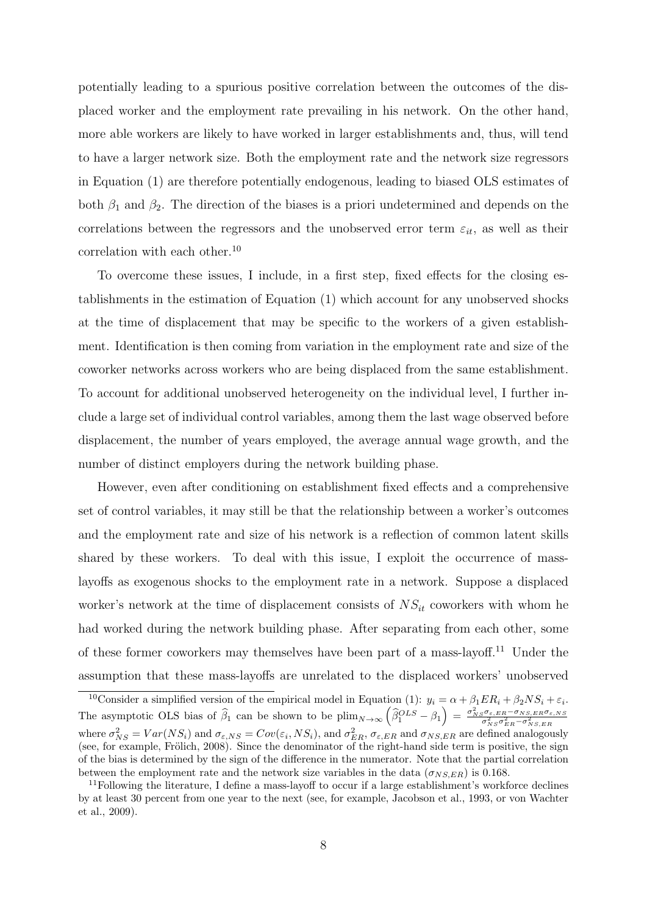potentially leading to a spurious positive correlation between the outcomes of the displaced worker and the employment rate prevailing in his network. On the other hand, more able workers are likely to have worked in larger establishments and, thus, will tend to have a larger network size. Both the employment rate and the network size regressors in Equation (1) are therefore potentially endogenous, leading to biased OLS estimates of both  $\beta_1$  and  $\beta_2$ . The direction of the biases is a priori undetermined and depends on the correlations between the regressors and the unobserved error term  $\varepsilon_{it}$ , as well as their correlation with each other.<sup>10</sup>

To overcome these issues, I include, in a first step, fixed effects for the closing establishments in the estimation of Equation (1) which account for any unobserved shocks at the time of displacement that may be specific to the workers of a given establishment. Identification is then coming from variation in the employment rate and size of the coworker networks across workers who are being displaced from the same establishment. To account for additional unobserved heterogeneity on the individual level, I further include a large set of individual control variables, among them the last wage observed before displacement, the number of years employed, the average annual wage growth, and the number of distinct employers during the network building phase.

However, even after conditioning on establishment fixed effects and a comprehensive set of control variables, it may still be that the relationship between a worker's outcomes and the employment rate and size of his network is a reflection of common latent skills shared by these workers. To deal with this issue, I exploit the occurrence of masslayoffs as exogenous shocks to the employment rate in a network. Suppose a displaced worker's network at the time of displacement consists of  $NS_{it}$  coworkers with whom he had worked during the network building phase. After separating from each other, some of these former coworkers may themselves have been part of a mass-layoff.<sup>11</sup> Under the assumption that these mass-layoffs are unrelated to the displaced workers' unobserved

<sup>&</sup>lt;sup>10</sup>Consider a simplified version of the empirical model in Equation (1):  $y_i = \alpha + \beta_1 ER_i + \beta_2 NS_i + \varepsilon_i$ . The asymptotic OLS bias of  $\hat{\beta}_1$  can be shown to be  $\lim_{N\to\infty} \left(\hat{\beta}_1^{OLS} - \beta_1\right) = \frac{\sigma_{NS}^2 \sigma_{\varepsilon,EE} - \sigma_{NS,ER}\sigma_{\varepsilon,NS}}{\sigma_{NS}^2 \sigma_{ER}^2 - \sigma_{NS,ER}^2}$ where  $\sigma_{NS}^2 = Var(NS_i)$  and  $\sigma_{\varepsilon,NS} = Cov(\varepsilon_i,NS_i)$ , and  $\sigma_{ER}^2$ ,  $\sigma_{\varepsilon,ER}$  and  $\sigma_{NS,ER}$  are defined analogously (see, for example, Frölich, 2008). Since the denominator of the right-hand side term is positive, the sign of the bias is determined by the sign of the difference in the numerator. Note that the partial correlation between the employment rate and the network size variables in the data  $(\sigma_{NS,ER})$  is 0.168.

<sup>&</sup>lt;sup>11</sup>Following the literature, I define a mass-layoff to occur if a large establishment's workforce declines by at least 30 percent from one year to the next (see, for example, Jacobson et al., 1993, or von Wachter et al., 2009).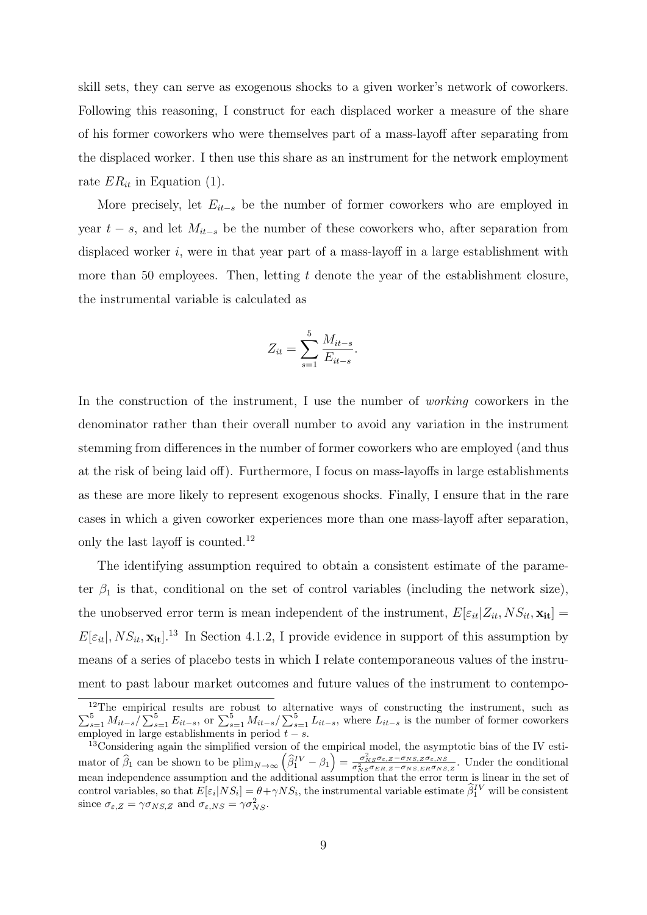skill sets, they can serve as exogenous shocks to a given worker's network of coworkers. Following this reasoning, I construct for each displaced worker a measure of the share of his former coworkers who were themselves part of a mass-layoff after separating from the displaced worker. I then use this share as an instrument for the network employment rate  $ER_{it}$  in Equation (1).

More precisely, let  $E_{it-s}$  be the number of former coworkers who are employed in year  $t - s$ , and let  $M_{it-s}$  be the number of these coworkers who, after separation from displaced worker  $i$ , were in that year part of a mass-layoff in a large establishment with more than 50 employees. Then, letting  $t$  denote the year of the establishment closure, the instrumental variable is calculated as

$$
Z_{it} = \sum_{s=1}^{5} \frac{M_{it-s}}{E_{it-s}}.
$$

In the construction of the instrument, I use the number of *working* coworkers in the denominator rather than their overall number to avoid any variation in the instrument stemming from differences in the number of former coworkers who are employed (and thus at the risk of being laid off). Furthermore, I focus on mass-layoffs in large establishments as these are more likely to represent exogenous shocks. Finally, I ensure that in the rare cases in which a given coworker experiences more than one mass-layoff after separation, only the last layoff is counted.<sup>12</sup>

The identifying assumption required to obtain a consistent estimate of the parameter  $\beta_1$  is that, conditional on the set of control variables (including the network size), the unobserved error term is mean independent of the instrument,  $E[\varepsilon_{it}|Z_{it}, NS_{it}, \mathbf{x}_{it}] =$  $E[\varepsilon_{it}|, NS_{it}, \mathbf{x}_{it}]$ .<sup>13</sup> In Section 4.1.2, I provide evidence in support of this assumption by means of a series of placebo tests in which I relate contemporaneous values of the instrument to past labour market outcomes and future values of the instrument to contempo-

<sup>12</sup>  $\sum$ <sup>12</sup>The empirical results are robust to alternative ways of constructing the instrument, such as  $\frac{5}{s=1} M_{it-s} / \sum_{s=1}^5 E_{it-s}$ , or  $\sum_{s=1}^5 M_{it-s} / \sum_{s=1}^5 L_{it-s}$ , where  $L_{it-s}$  is the number of former coworkers employed in large establishments in period  $t - s$ .

 $13$ Considering again the simplified version of the empirical model, the asymptotic bias of the IV estimator of  $\hat{\beta}_1$  can be shown to be plim<sub>N→∞</sub>  $(\hat{\beta}_1^{IV} - \beta_1) = \frac{\sigma_{NS}^2 \sigma_{\varepsilon,Z} - \sigma_{NS,Z} \sigma_{\varepsilon,NS}}{\sigma_{NS}^2 \sigma_{ER,Z} - \sigma_{NS,ER} \sigma_{NS,Z}}$ . Under the conditional mean independence assumption and the additional assumption that the error term is linear in the set of control variables, so that  $E[\varepsilon_i|NS_i] = \theta + \gamma NS_i$ , the instrumental variable estimate  $\hat{\beta}_1^{IV}$  will be consistent since  $\sigma_{\varepsilon,Z} = \gamma \sigma_{NS,Z}$  and  $\sigma_{\varepsilon,NS} = \gamma \sigma_{NS}^2$ .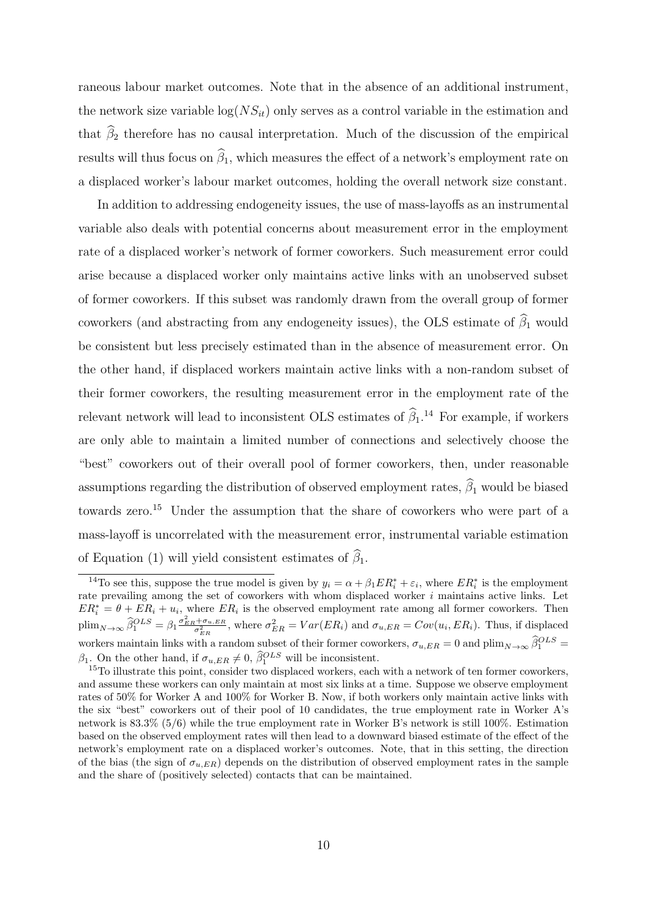raneous labour market outcomes. Note that in the absence of an additional instrument, the network size variable  $log(NS_{it})$  only serves as a control variable in the estimation and that  $\widehat{\beta}_2$  therefore has no causal interpretation. Much of the discussion of the empirical results will thus focus on  $\widehat{\beta}_1$ , which measures the effect of a network's employment rate on a displaced worker's labour market outcomes, holding the overall network size constant.

In addition to addressing endogeneity issues, the use of mass-layoffs as an instrumental variable also deals with potential concerns about measurement error in the employment rate of a displaced worker's network of former coworkers. Such measurement error could arise because a displaced worker only maintains active links with an unobserved subset of former coworkers. If this subset was randomly drawn from the overall group of former coworkers (and abstracting from any endogeneity issues), the OLS estimate of  $\widehat{\beta}_1$  would be consistent but less precisely estimated than in the absence of measurement error. On the other hand, if displaced workers maintain active links with a non-random subset of their former coworkers, the resulting measurement error in the employment rate of the relevant network will lead to inconsistent OLS estimates of  $\hat{\beta}_1$ .<sup>14</sup> For example, if workers are only able to maintain a limited number of connections and selectively choose the "best" coworkers out of their overall pool of former coworkers, then, under reasonable assumptions regarding the distribution of observed employment rates,  $\widehat{\beta}_1$  would be biased towards zero.<sup>15</sup> Under the assumption that the share of coworkers who were part of a mass-layoff is uncorrelated with the measurement error, instrumental variable estimation of Equation (1) will yield consistent estimates of  $\widehat{\beta}_1$ .

<sup>&</sup>lt;sup>14</sup>To see this, suppose the true model is given by  $y_i = \alpha + \beta_1 ER_i^* + \varepsilon_i$ , where  $ER_i^*$  is the employment rate prevailing among the set of coworkers with whom displaced worker i maintains active links. Let  $ER_i^* = \theta + ER_i + u_i$ , where  $ER_i$  is the observed employment rate among all former coworkers. Then  $\text{plim}_{N\to\infty} \widehat{\beta}_1^{OLS} = \beta_1 \frac{\sigma_{ER}^2 + \sigma_{u,ER}}{\sigma_{ER}^2}$ , where  $\sigma_{ER}^2 = Var(ER_i)$  and  $\sigma_{u,ER} = Cov(u_i,ER_i)$ . Thus, if displaced workers maintain links with a random subset of their former coworkers,  $\sigma_{u,ER} = 0$  and  $\lim_{N \to \infty} \hat{\beta}_1^{OLS} =$  $\beta_1$ . On the other hand, if  $\sigma_{u,ER} \neq 0$ ,  $\beta_1^{OLS}$  will be inconsistent.

<sup>&</sup>lt;sup>15</sup>To illustrate this point, consider two displaced workers, each with a network of ten former coworkers, and assume these workers can only maintain at most six links at a time. Suppose we observe employment rates of 50% for Worker A and 100% for Worker B. Now, if both workers only maintain active links with the six "best" coworkers out of their pool of 10 candidates, the true employment rate in Worker A's network is 83.3% (5/6) while the true employment rate in Worker B's network is still 100%. Estimation based on the observed employment rates will then lead to a downward biased estimate of the effect of the network's employment rate on a displaced worker's outcomes. Note, that in this setting, the direction of the bias (the sign of  $\sigma_{u,ER}$ ) depends on the distribution of observed employment rates in the sample and the share of (positively selected) contacts that can be maintained.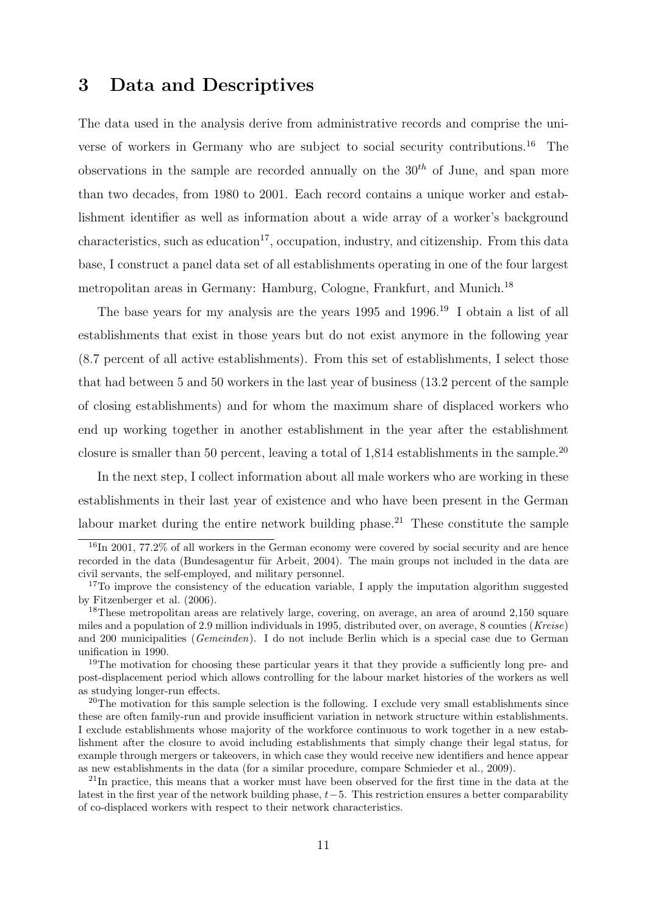# 3 Data and Descriptives

The data used in the analysis derive from administrative records and comprise the universe of workers in Germany who are subject to social security contributions.<sup>16</sup> The observations in the sample are recorded annually on the  $30<sup>th</sup>$  of June, and span more than two decades, from 1980 to 2001. Each record contains a unique worker and establishment identifier as well as information about a wide array of a worker's background characteristics, such as education<sup>17</sup>, occupation, industry, and citizenship. From this data base, I construct a panel data set of all establishments operating in one of the four largest metropolitan areas in Germany: Hamburg, Cologne, Frankfurt, and Munich.<sup>18</sup>

The base years for my analysis are the years 1995 and 1996.<sup>19</sup> I obtain a list of all establishments that exist in those years but do not exist anymore in the following year (8.7 percent of all active establishments). From this set of establishments, I select those that had between 5 and 50 workers in the last year of business (13.2 percent of the sample of closing establishments) and for whom the maximum share of displaced workers who end up working together in another establishment in the year after the establishment closure is smaller than 50 percent, leaving a total of  $1,814$  establishments in the sample.<sup>20</sup>

In the next step, I collect information about all male workers who are working in these establishments in their last year of existence and who have been present in the German labour market during the entire network building phase.<sup>21</sup> These constitute the sample

<sup>&</sup>lt;sup>16</sup>In 2001, 77.2% of all workers in the German economy were covered by social security and are hence recorded in the data (Bundesagentur für Arbeit, 2004). The main groups not included in the data are civil servants, the self-employed, and military personnel.

<sup>&</sup>lt;sup>17</sup>To improve the consistency of the education variable, I apply the imputation algorithm suggested by Fitzenberger et al. (2006).

<sup>&</sup>lt;sup>18</sup>These metropolitan areas are relatively large, covering, on average, an area of around 2,150 square miles and a population of 2.9 million individuals in 1995, distributed over, on average, 8 counties (Kreise) and 200 municipalities (Gemeinden). I do not include Berlin which is a special case due to German unification in 1990.

<sup>&</sup>lt;sup>19</sup>The motivation for choosing these particular years it that they provide a sufficiently long pre- and post-displacement period which allows controlling for the labour market histories of the workers as well as studying longer-run effects.

 $20$ The motivation for this sample selection is the following. I exclude very small establishments since these are often family-run and provide insufficient variation in network structure within establishments. I exclude establishments whose majority of the workforce continuous to work together in a new establishment after the closure to avoid including establishments that simply change their legal status, for example through mergers or takeovers, in which case they would receive new identifiers and hence appear as new establishments in the data (for a similar procedure, compare Schmieder et al., 2009).

<sup>&</sup>lt;sup>21</sup>In practice, this means that a worker must have been observed for the first time in the data at the latest in the first year of the network building phase,  $t-5$ . This restriction ensures a better comparability of co-displaced workers with respect to their network characteristics.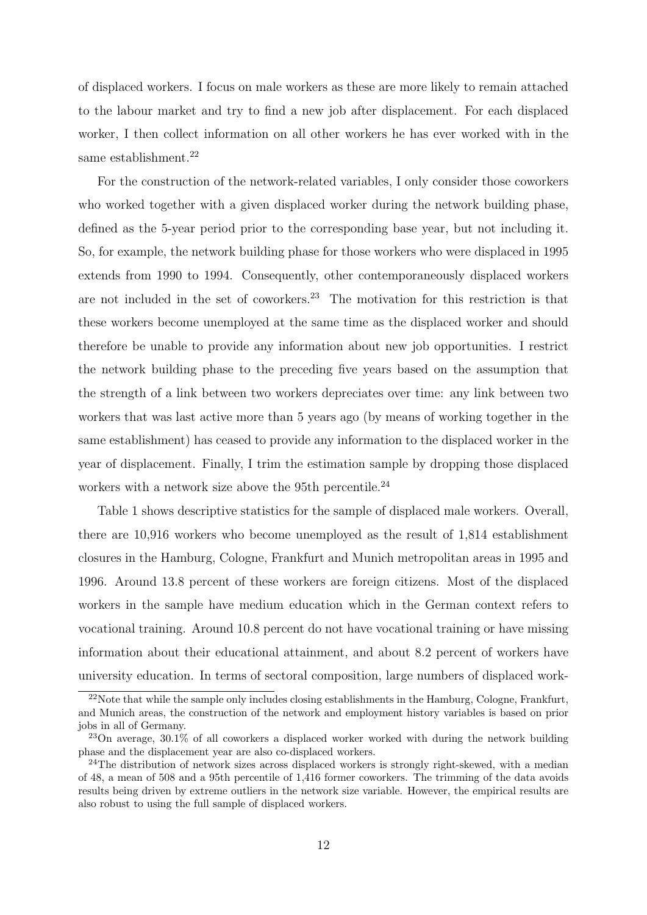of displaced workers. I focus on male workers as these are more likely to remain attached to the labour market and try to find a new job after displacement. For each displaced worker, I then collect information on all other workers he has ever worked with in the same establishment.<sup>22</sup>

For the construction of the network-related variables, I only consider those coworkers who worked together with a given displaced worker during the network building phase, defined as the 5-year period prior to the corresponding base year, but not including it. So, for example, the network building phase for those workers who were displaced in 1995 extends from 1990 to 1994. Consequently, other contemporaneously displaced workers are not included in the set of coworkers.<sup>23</sup> The motivation for this restriction is that these workers become unemployed at the same time as the displaced worker and should therefore be unable to provide any information about new job opportunities. I restrict the network building phase to the preceding five years based on the assumption that the strength of a link between two workers depreciates over time: any link between two workers that was last active more than 5 years ago (by means of working together in the same establishment) has ceased to provide any information to the displaced worker in the year of displacement. Finally, I trim the estimation sample by dropping those displaced workers with a network size above the 95th percentile.<sup>24</sup>

Table 1 shows descriptive statistics for the sample of displaced male workers. Overall, there are 10,916 workers who become unemployed as the result of 1,814 establishment closures in the Hamburg, Cologne, Frankfurt and Munich metropolitan areas in 1995 and 1996. Around 13.8 percent of these workers are foreign citizens. Most of the displaced workers in the sample have medium education which in the German context refers to vocational training. Around 10.8 percent do not have vocational training or have missing information about their educational attainment, and about 8.2 percent of workers have university education. In terms of sectoral composition, large numbers of displaced work-

 $22$ Note that while the sample only includes closing establishments in the Hamburg, Cologne, Frankfurt, and Munich areas, the construction of the network and employment history variables is based on prior jobs in all of Germany.

<sup>23</sup>On average, 30.1% of all coworkers a displaced worker worked with during the network building phase and the displacement year are also co-displaced workers.

 $^{24}$ The distribution of network sizes across displaced workers is strongly right-skewed, with a median of 48, a mean of 508 and a 95th percentile of 1,416 former coworkers. The trimming of the data avoids results being driven by extreme outliers in the network size variable. However, the empirical results are also robust to using the full sample of displaced workers.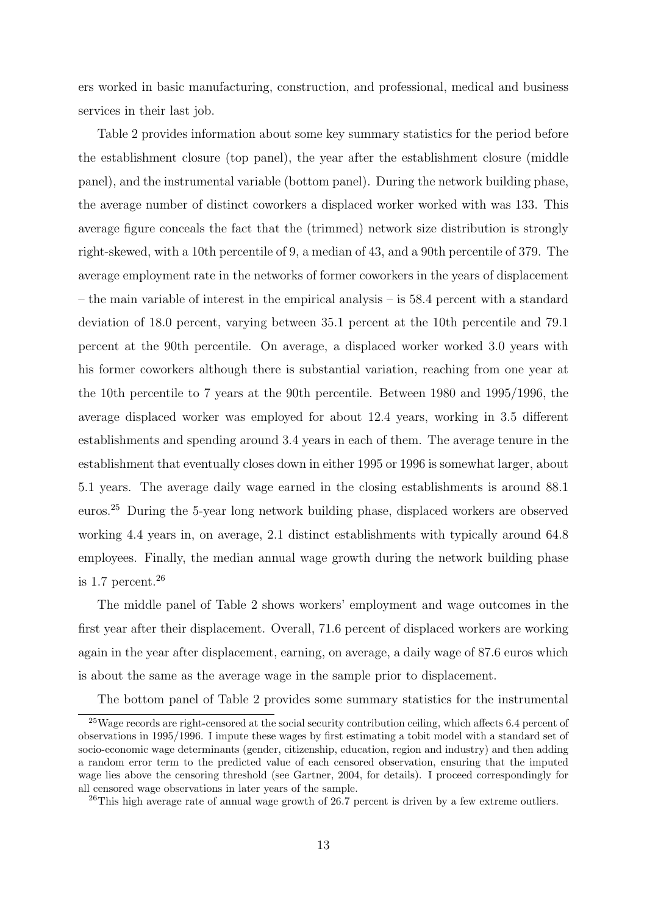ers worked in basic manufacturing, construction, and professional, medical and business services in their last job.

Table 2 provides information about some key summary statistics for the period before the establishment closure (top panel), the year after the establishment closure (middle panel), and the instrumental variable (bottom panel). During the network building phase, the average number of distinct coworkers a displaced worker worked with was 133. This average figure conceals the fact that the (trimmed) network size distribution is strongly right-skewed, with a 10th percentile of 9, a median of 43, and a 90th percentile of 379. The average employment rate in the networks of former coworkers in the years of displacement – the main variable of interest in the empirical analysis – is 58.4 percent with a standard deviation of 18.0 percent, varying between 35.1 percent at the 10th percentile and 79.1 percent at the 90th percentile. On average, a displaced worker worked 3.0 years with his former coworkers although there is substantial variation, reaching from one year at the 10th percentile to 7 years at the 90th percentile. Between 1980 and 1995/1996, the average displaced worker was employed for about 12.4 years, working in 3.5 different establishments and spending around 3.4 years in each of them. The average tenure in the establishment that eventually closes down in either 1995 or 1996 is somewhat larger, about 5.1 years. The average daily wage earned in the closing establishments is around 88.1 euros.<sup>25</sup> During the 5-year long network building phase, displaced workers are observed working 4.4 years in, on average, 2.1 distinct establishments with typically around 64.8 employees. Finally, the median annual wage growth during the network building phase is 1.7 percent. $^{26}$ 

The middle panel of Table 2 shows workers' employment and wage outcomes in the first year after their displacement. Overall, 71.6 percent of displaced workers are working again in the year after displacement, earning, on average, a daily wage of 87.6 euros which is about the same as the average wage in the sample prior to displacement.

The bottom panel of Table 2 provides some summary statistics for the instrumental

<sup>&</sup>lt;sup>25</sup>Wage records are right-censored at the social security contribution ceiling, which affects 6.4 percent of observations in 1995/1996. I impute these wages by first estimating a tobit model with a standard set of socio-economic wage determinants (gender, citizenship, education, region and industry) and then adding a random error term to the predicted value of each censored observation, ensuring that the imputed wage lies above the censoring threshold (see Gartner, 2004, for details). I proceed correspondingly for all censored wage observations in later years of the sample.

 $^{26}$ This high average rate of annual wage growth of 26.7 percent is driven by a few extreme outliers.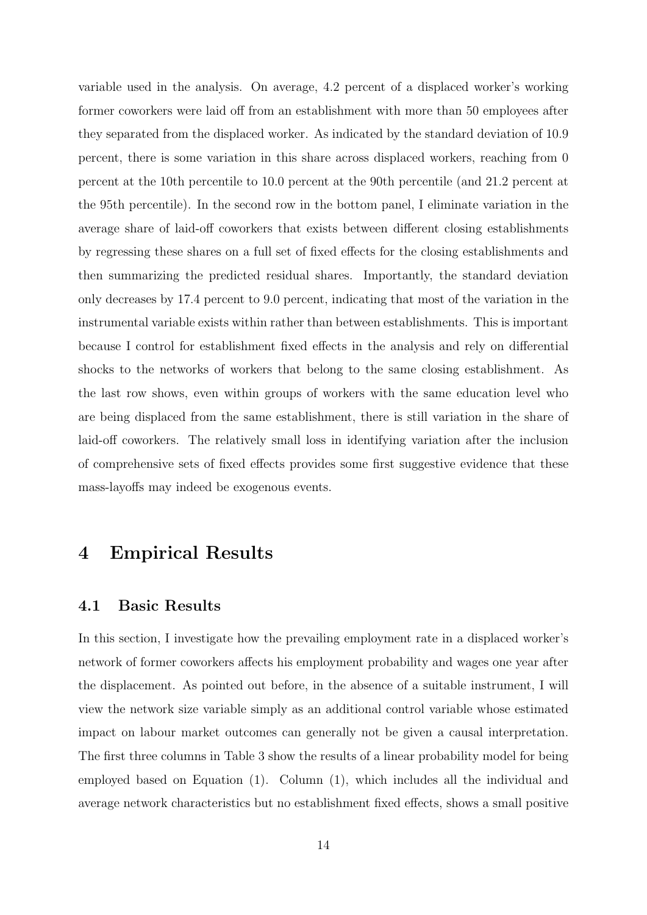variable used in the analysis. On average, 4.2 percent of a displaced worker's working former coworkers were laid off from an establishment with more than 50 employees after they separated from the displaced worker. As indicated by the standard deviation of 10.9 percent, there is some variation in this share across displaced workers, reaching from 0 percent at the 10th percentile to 10.0 percent at the 90th percentile (and 21.2 percent at the 95th percentile). In the second row in the bottom panel, I eliminate variation in the average share of laid-off coworkers that exists between different closing establishments by regressing these shares on a full set of fixed effects for the closing establishments and then summarizing the predicted residual shares. Importantly, the standard deviation only decreases by 17.4 percent to 9.0 percent, indicating that most of the variation in the instrumental variable exists within rather than between establishments. This is important because I control for establishment fixed effects in the analysis and rely on differential shocks to the networks of workers that belong to the same closing establishment. As the last row shows, even within groups of workers with the same education level who are being displaced from the same establishment, there is still variation in the share of laid-off coworkers. The relatively small loss in identifying variation after the inclusion of comprehensive sets of fixed effects provides some first suggestive evidence that these mass-layoffs may indeed be exogenous events.

## 4 Empirical Results

#### 4.1 Basic Results

In this section, I investigate how the prevailing employment rate in a displaced worker's network of former coworkers affects his employment probability and wages one year after the displacement. As pointed out before, in the absence of a suitable instrument, I will view the network size variable simply as an additional control variable whose estimated impact on labour market outcomes can generally not be given a causal interpretation. The first three columns in Table 3 show the results of a linear probability model for being employed based on Equation (1). Column (1), which includes all the individual and average network characteristics but no establishment fixed effects, shows a small positive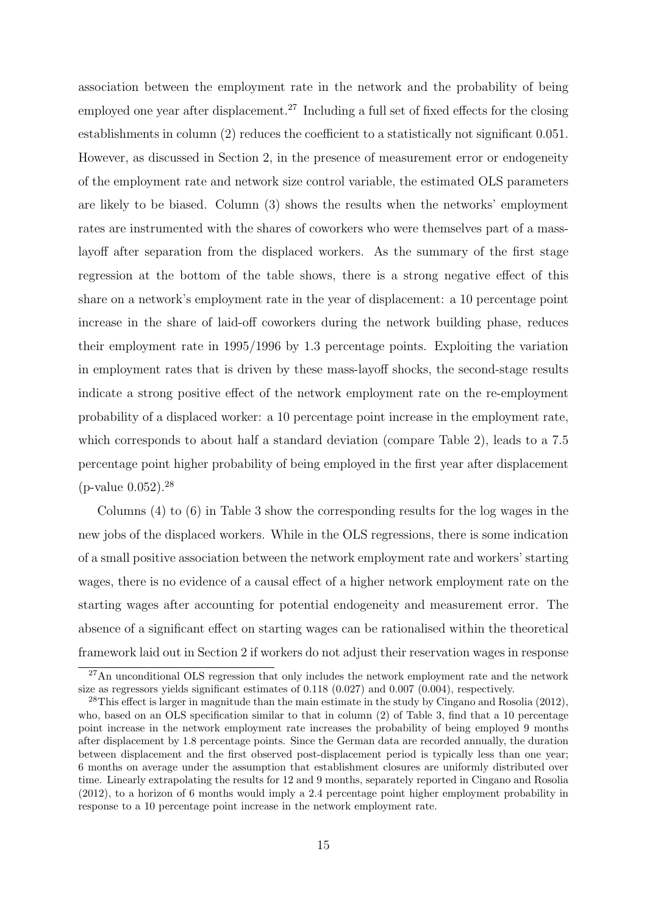association between the employment rate in the network and the probability of being employed one year after displacement.<sup>27</sup> Including a full set of fixed effects for the closing establishments in column (2) reduces the coefficient to a statistically not significant 0.051. However, as discussed in Section 2, in the presence of measurement error or endogeneity of the employment rate and network size control variable, the estimated OLS parameters are likely to be biased. Column (3) shows the results when the networks' employment rates are instrumented with the shares of coworkers who were themselves part of a masslayoff after separation from the displaced workers. As the summary of the first stage regression at the bottom of the table shows, there is a strong negative effect of this share on a network's employment rate in the year of displacement: a 10 percentage point increase in the share of laid-off coworkers during the network building phase, reduces their employment rate in 1995/1996 by 1.3 percentage points. Exploiting the variation in employment rates that is driven by these mass-layoff shocks, the second-stage results indicate a strong positive effect of the network employment rate on the re-employment probability of a displaced worker: a 10 percentage point increase in the employment rate, which corresponds to about half a standard deviation (compare Table 2), leads to a 7.5 percentage point higher probability of being employed in the first year after displacement  $(p$ -value  $0.052)$ .<sup>28</sup>

Columns (4) to (6) in Table 3 show the corresponding results for the log wages in the new jobs of the displaced workers. While in the OLS regressions, there is some indication of a small positive association between the network employment rate and workers' starting wages, there is no evidence of a causal effect of a higher network employment rate on the starting wages after accounting for potential endogeneity and measurement error. The absence of a significant effect on starting wages can be rationalised within the theoretical framework laid out in Section 2 if workers do not adjust their reservation wages in response

 $^{27}$ An unconditional OLS regression that only includes the network employment rate and the network size as regressors yields significant estimates of 0.118 (0.027) and 0.007 (0.004), respectively.

 $^{28}$ This effect is larger in magnitude than the main estimate in the study by Cingano and Rosolia (2012), who, based on an OLS specification similar to that in column (2) of Table 3, find that a 10 percentage point increase in the network employment rate increases the probability of being employed 9 months after displacement by 1.8 percentage points. Since the German data are recorded annually, the duration between displacement and the first observed post-displacement period is typically less than one year; 6 months on average under the assumption that establishment closures are uniformly distributed over time. Linearly extrapolating the results for 12 and 9 months, separately reported in Cingano and Rosolia (2012), to a horizon of 6 months would imply a 2.4 percentage point higher employment probability in response to a 10 percentage point increase in the network employment rate.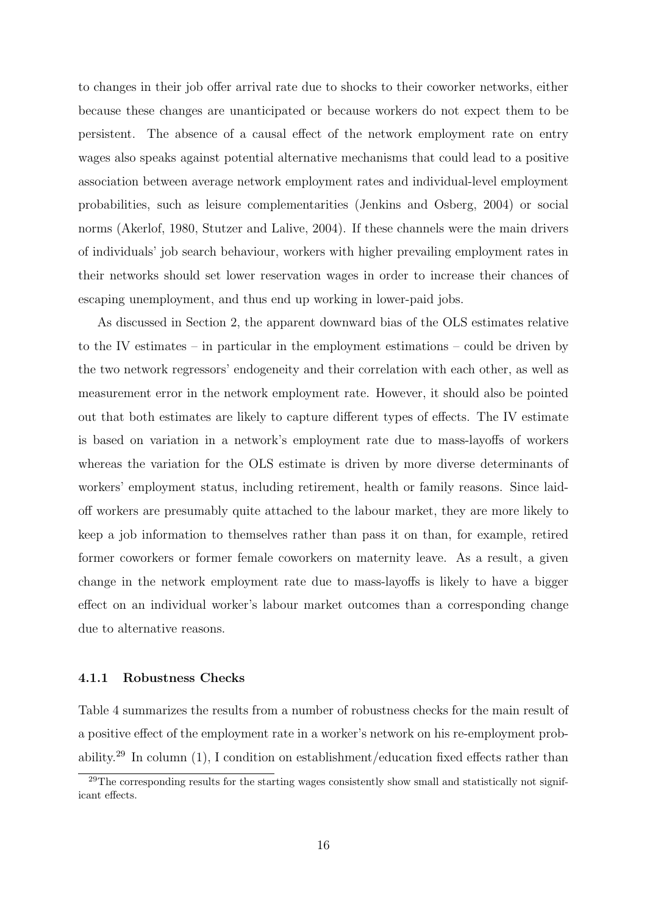to changes in their job offer arrival rate due to shocks to their coworker networks, either because these changes are unanticipated or because workers do not expect them to be persistent. The absence of a causal effect of the network employment rate on entry wages also speaks against potential alternative mechanisms that could lead to a positive association between average network employment rates and individual-level employment probabilities, such as leisure complementarities (Jenkins and Osberg, 2004) or social norms (Akerlof, 1980, Stutzer and Lalive, 2004). If these channels were the main drivers of individuals' job search behaviour, workers with higher prevailing employment rates in their networks should set lower reservation wages in order to increase their chances of escaping unemployment, and thus end up working in lower-paid jobs.

As discussed in Section 2, the apparent downward bias of the OLS estimates relative to the IV estimates – in particular in the employment estimations – could be driven by the two network regressors' endogeneity and their correlation with each other, as well as measurement error in the network employment rate. However, it should also be pointed out that both estimates are likely to capture different types of effects. The IV estimate is based on variation in a network's employment rate due to mass-layoffs of workers whereas the variation for the OLS estimate is driven by more diverse determinants of workers' employment status, including retirement, health or family reasons. Since laidoff workers are presumably quite attached to the labour market, they are more likely to keep a job information to themselves rather than pass it on than, for example, retired former coworkers or former female coworkers on maternity leave. As a result, a given change in the network employment rate due to mass-layoffs is likely to have a bigger effect on an individual worker's labour market outcomes than a corresponding change due to alternative reasons.

#### 4.1.1 Robustness Checks

Table 4 summarizes the results from a number of robustness checks for the main result of a positive effect of the employment rate in a worker's network on his re-employment probability.<sup>29</sup> In column (1), I condition on establishment/education fixed effects rather than

<sup>&</sup>lt;sup>29</sup>The corresponding results for the starting wages consistently show small and statistically not significant effects.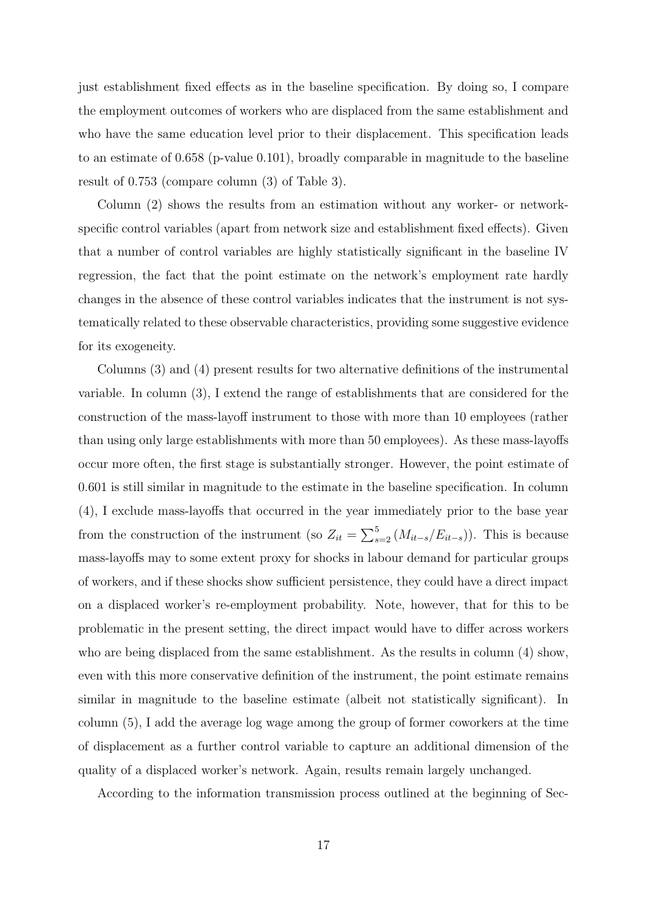just establishment fixed effects as in the baseline specification. By doing so, I compare the employment outcomes of workers who are displaced from the same establishment and who have the same education level prior to their displacement. This specification leads to an estimate of 0.658 (p-value 0.101), broadly comparable in magnitude to the baseline result of 0.753 (compare column (3) of Table 3).

Column (2) shows the results from an estimation without any worker- or networkspecific control variables (apart from network size and establishment fixed effects). Given that a number of control variables are highly statistically significant in the baseline IV regression, the fact that the point estimate on the network's employment rate hardly changes in the absence of these control variables indicates that the instrument is not systematically related to these observable characteristics, providing some suggestive evidence for its exogeneity.

Columns (3) and (4) present results for two alternative definitions of the instrumental variable. In column (3), I extend the range of establishments that are considered for the construction of the mass-layoff instrument to those with more than 10 employees (rather than using only large establishments with more than 50 employees). As these mass-layoffs occur more often, the first stage is substantially stronger. However, the point estimate of 0.601 is still similar in magnitude to the estimate in the baseline specification. In column (4), I exclude mass-layoffs that occurred in the year immediately prior to the base year from the construction of the instrument (so  $Z_{it} = \sum_{s=2}^{5} (M_{it-s}/E_{it-s})$ ). This is because mass-layoffs may to some extent proxy for shocks in labour demand for particular groups of workers, and if these shocks show sufficient persistence, they could have a direct impact on a displaced worker's re-employment probability. Note, however, that for this to be problematic in the present setting, the direct impact would have to differ across workers who are being displaced from the same establishment. As the results in column (4) show, even with this more conservative definition of the instrument, the point estimate remains similar in magnitude to the baseline estimate (albeit not statistically significant). In column (5), I add the average log wage among the group of former coworkers at the time of displacement as a further control variable to capture an additional dimension of the quality of a displaced worker's network. Again, results remain largely unchanged.

According to the information transmission process outlined at the beginning of Sec-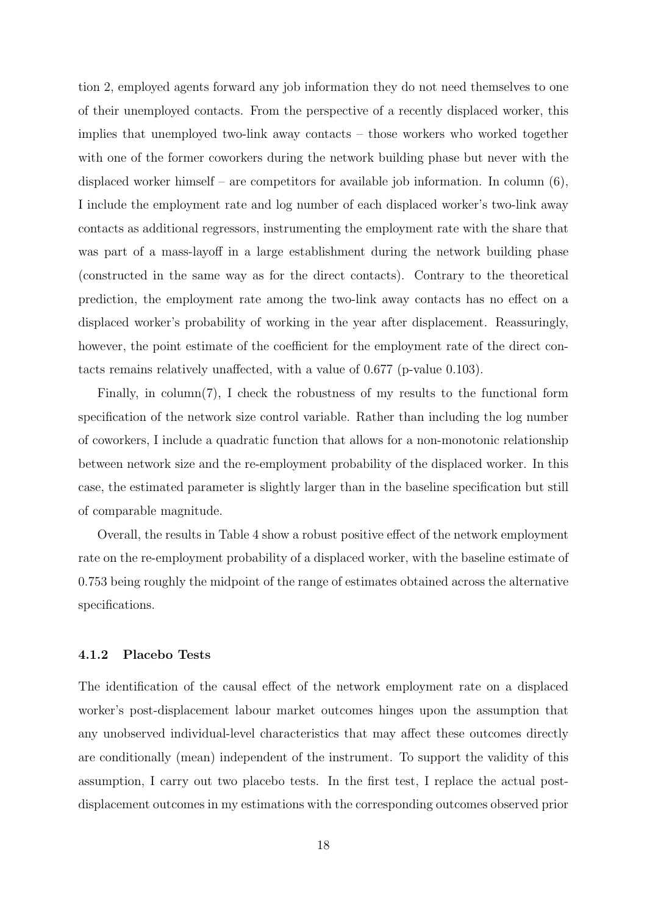tion 2, employed agents forward any job information they do not need themselves to one of their unemployed contacts. From the perspective of a recently displaced worker, this implies that unemployed two-link away contacts – those workers who worked together with one of the former coworkers during the network building phase but never with the displaced worker himself – are competitors for available job information. In column  $(6)$ , I include the employment rate and log number of each displaced worker's two-link away contacts as additional regressors, instrumenting the employment rate with the share that was part of a mass-layoff in a large establishment during the network building phase (constructed in the same way as for the direct contacts). Contrary to the theoretical prediction, the employment rate among the two-link away contacts has no effect on a displaced worker's probability of working in the year after displacement. Reassuringly, however, the point estimate of the coefficient for the employment rate of the direct contacts remains relatively unaffected, with a value of 0.677 (p-value 0.103).

Finally, in column(7), I check the robustness of my results to the functional form specification of the network size control variable. Rather than including the log number of coworkers, I include a quadratic function that allows for a non-monotonic relationship between network size and the re-employment probability of the displaced worker. In this case, the estimated parameter is slightly larger than in the baseline specification but still of comparable magnitude.

Overall, the results in Table 4 show a robust positive effect of the network employment rate on the re-employment probability of a displaced worker, with the baseline estimate of 0.753 being roughly the midpoint of the range of estimates obtained across the alternative specifications.

#### 4.1.2 Placebo Tests

The identification of the causal effect of the network employment rate on a displaced worker's post-displacement labour market outcomes hinges upon the assumption that any unobserved individual-level characteristics that may affect these outcomes directly are conditionally (mean) independent of the instrument. To support the validity of this assumption, I carry out two placebo tests. In the first test, I replace the actual postdisplacement outcomes in my estimations with the corresponding outcomes observed prior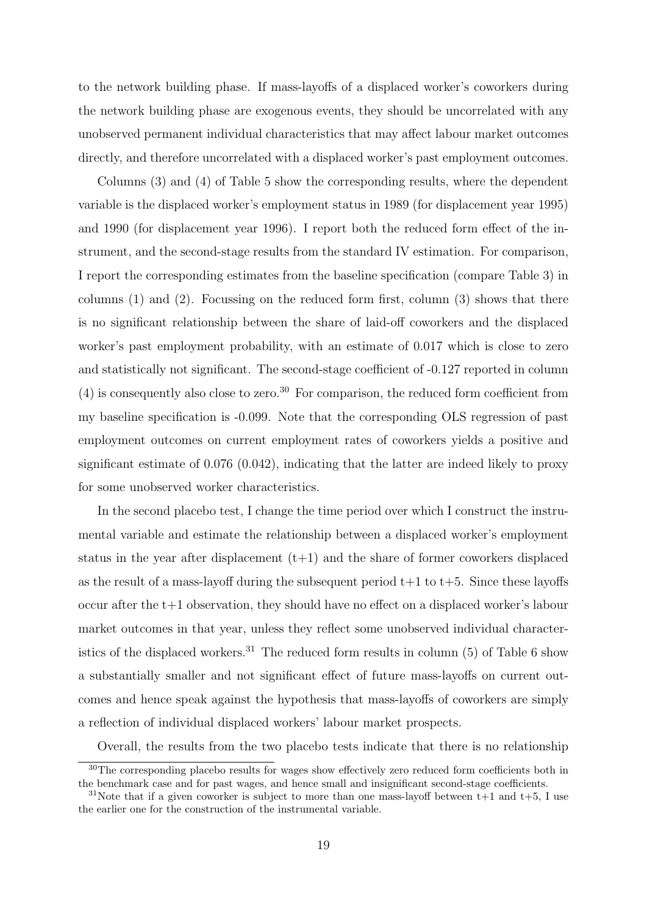to the network building phase. If mass-layoffs of a displaced worker's coworkers during the network building phase are exogenous events, they should be uncorrelated with any unobserved permanent individual characteristics that may affect labour market outcomes directly, and therefore uncorrelated with a displaced worker's past employment outcomes.

Columns (3) and (4) of Table 5 show the corresponding results, where the dependent variable is the displaced worker's employment status in 1989 (for displacement year 1995) and 1990 (for displacement year 1996). I report both the reduced form effect of the instrument, and the second-stage results from the standard IV estimation. For comparison, I report the corresponding estimates from the baseline specification (compare Table 3) in columns (1) and (2). Focussing on the reduced form first, column (3) shows that there is no significant relationship between the share of laid-off coworkers and the displaced worker's past employment probability, with an estimate of 0.017 which is close to zero and statistically not significant. The second-stage coefficient of -0.127 reported in column  $(4)$  is consequently also close to zero.<sup>30</sup> For comparison, the reduced form coefficient from my baseline specification is -0.099. Note that the corresponding OLS regression of past employment outcomes on current employment rates of coworkers yields a positive and significant estimate of 0.076 (0.042), indicating that the latter are indeed likely to proxy for some unobserved worker characteristics.

In the second placebo test, I change the time period over which I construct the instrumental variable and estimate the relationship between a displaced worker's employment status in the year after displacement  $(t+1)$  and the share of former coworkers displaced as the result of a mass-layoff during the subsequent period  $t+1$  to  $t+5$ . Since these layoffs occur after the t+1 observation, they should have no effect on a displaced worker's labour market outcomes in that year, unless they reflect some unobserved individual characteristics of the displaced workers.<sup>31</sup> The reduced form results in column  $(5)$  of Table 6 show a substantially smaller and not significant effect of future mass-layoffs on current outcomes and hence speak against the hypothesis that mass-layoffs of coworkers are simply a reflection of individual displaced workers' labour market prospects.

Overall, the results from the two placebo tests indicate that there is no relationship

<sup>&</sup>lt;sup>30</sup>The corresponding placebo results for wages show effectively zero reduced form coefficients both in the benchmark case and for past wages, and hence small and insignificant second-stage coefficients.

<sup>&</sup>lt;sup>31</sup>Note that if a given coworker is subject to more than one mass-layoff between  $t+1$  and  $t+5$ , I use the earlier one for the construction of the instrumental variable.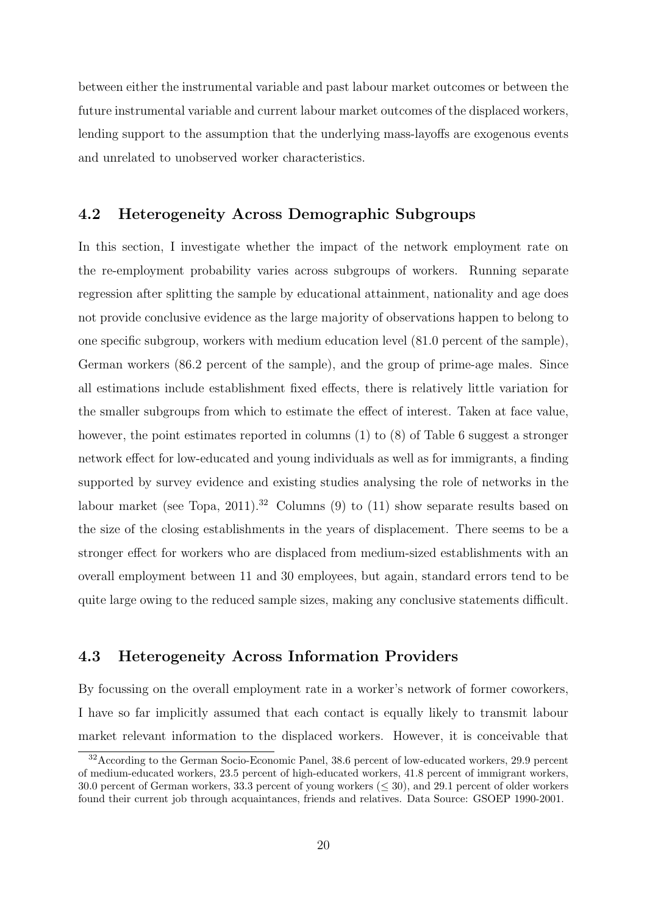between either the instrumental variable and past labour market outcomes or between the future instrumental variable and current labour market outcomes of the displaced workers, lending support to the assumption that the underlying mass-layoffs are exogenous events and unrelated to unobserved worker characteristics.

#### 4.2 Heterogeneity Across Demographic Subgroups

In this section, I investigate whether the impact of the network employment rate on the re-employment probability varies across subgroups of workers. Running separate regression after splitting the sample by educational attainment, nationality and age does not provide conclusive evidence as the large majority of observations happen to belong to one specific subgroup, workers with medium education level (81.0 percent of the sample), German workers (86.2 percent of the sample), and the group of prime-age males. Since all estimations include establishment fixed effects, there is relatively little variation for the smaller subgroups from which to estimate the effect of interest. Taken at face value, however, the point estimates reported in columns (1) to (8) of Table 6 suggest a stronger network effect for low-educated and young individuals as well as for immigrants, a finding supported by survey evidence and existing studies analysing the role of networks in the labour market (see Topa, 2011).<sup>32</sup> Columns (9) to (11) show separate results based on the size of the closing establishments in the years of displacement. There seems to be a stronger effect for workers who are displaced from medium-sized establishments with an overall employment between 11 and 30 employees, but again, standard errors tend to be quite large owing to the reduced sample sizes, making any conclusive statements difficult.

#### 4.3 Heterogeneity Across Information Providers

By focussing on the overall employment rate in a worker's network of former coworkers, I have so far implicitly assumed that each contact is equally likely to transmit labour market relevant information to the displaced workers. However, it is conceivable that

<sup>32</sup>According to the German Socio-Economic Panel, 38.6 percent of low-educated workers, 29.9 percent of medium-educated workers, 23.5 percent of high-educated workers, 41.8 percent of immigrant workers, 30.0 percent of German workers, 33.3 percent of young workers (≤ 30), and 29.1 percent of older workers found their current job through acquaintances, friends and relatives. Data Source: GSOEP 1990-2001.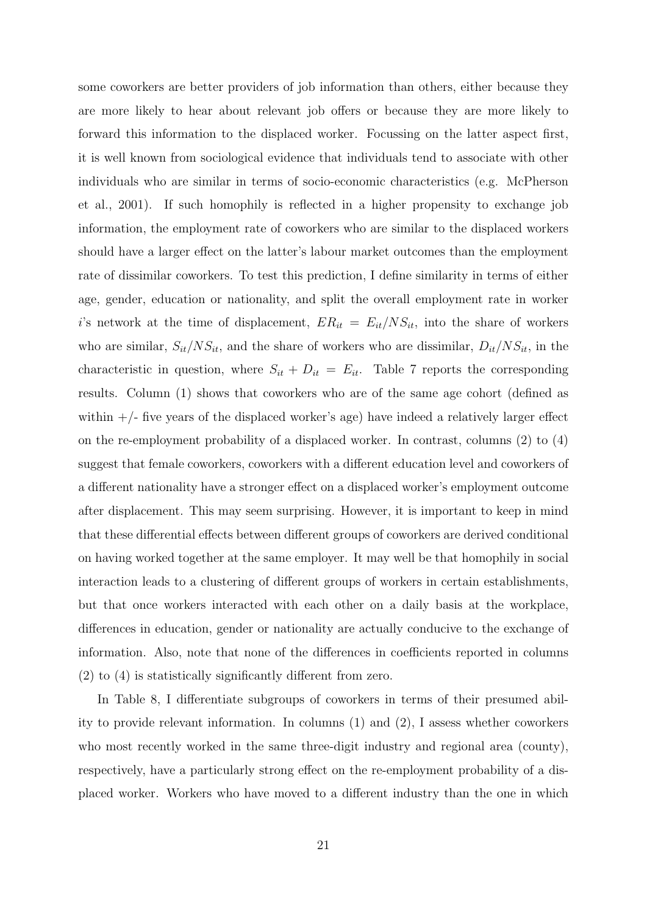some coworkers are better providers of job information than others, either because they are more likely to hear about relevant job offers or because they are more likely to forward this information to the displaced worker. Focussing on the latter aspect first, it is well known from sociological evidence that individuals tend to associate with other individuals who are similar in terms of socio-economic characteristics (e.g. McPherson et al., 2001). If such homophily is reflected in a higher propensity to exchange job information, the employment rate of coworkers who are similar to the displaced workers should have a larger effect on the latter's labour market outcomes than the employment rate of dissimilar coworkers. To test this prediction, I define similarity in terms of either age, gender, education or nationality, and split the overall employment rate in worker i's network at the time of displacement,  $ER_{it} = E_{it}/NS_{it}$ , into the share of workers who are similar,  $S_{it}/NS_{it}$ , and the share of workers who are dissimilar,  $D_{it}/NS_{it}$ , in the characteristic in question, where  $S_{it} + D_{it} = E_{it}$ . Table 7 reports the corresponding results. Column (1) shows that coworkers who are of the same age cohort (defined as within  $+/-$  five years of the displaced worker's age) have indeed a relatively larger effect on the re-employment probability of a displaced worker. In contrast, columns (2) to (4) suggest that female coworkers, coworkers with a different education level and coworkers of a different nationality have a stronger effect on a displaced worker's employment outcome after displacement. This may seem surprising. However, it is important to keep in mind that these differential effects between different groups of coworkers are derived conditional on having worked together at the same employer. It may well be that homophily in social interaction leads to a clustering of different groups of workers in certain establishments, but that once workers interacted with each other on a daily basis at the workplace, differences in education, gender or nationality are actually conducive to the exchange of information. Also, note that none of the differences in coefficients reported in columns (2) to (4) is statistically significantly different from zero.

In Table 8, I differentiate subgroups of coworkers in terms of their presumed ability to provide relevant information. In columns (1) and (2), I assess whether coworkers who most recently worked in the same three-digit industry and regional area (county), respectively, have a particularly strong effect on the re-employment probability of a displaced worker. Workers who have moved to a different industry than the one in which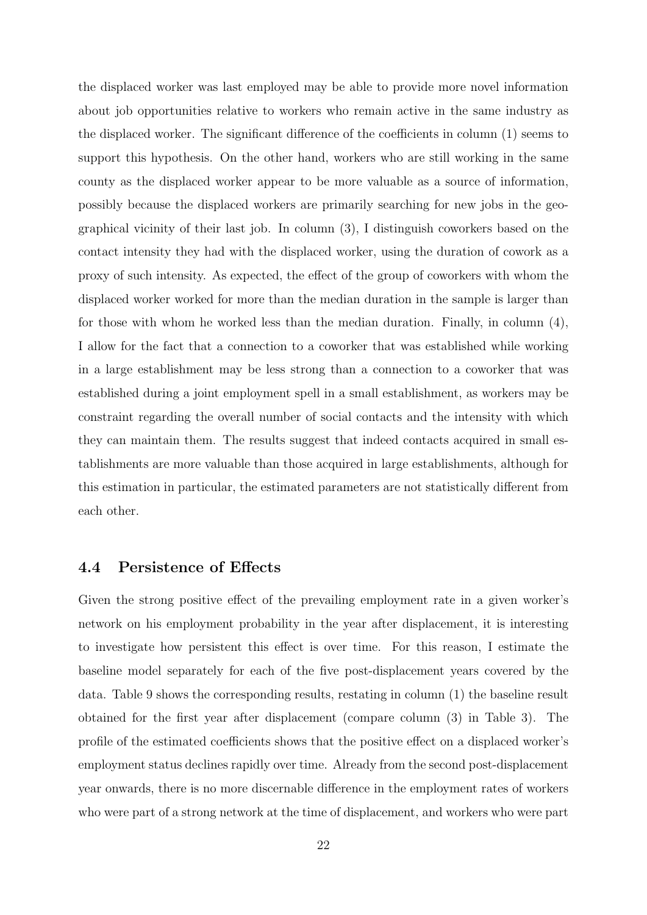the displaced worker was last employed may be able to provide more novel information about job opportunities relative to workers who remain active in the same industry as the displaced worker. The significant difference of the coefficients in column (1) seems to support this hypothesis. On the other hand, workers who are still working in the same county as the displaced worker appear to be more valuable as a source of information, possibly because the displaced workers are primarily searching for new jobs in the geographical vicinity of their last job. In column (3), I distinguish coworkers based on the contact intensity they had with the displaced worker, using the duration of cowork as a proxy of such intensity. As expected, the effect of the group of coworkers with whom the displaced worker worked for more than the median duration in the sample is larger than for those with whom he worked less than the median duration. Finally, in column (4), I allow for the fact that a connection to a coworker that was established while working in a large establishment may be less strong than a connection to a coworker that was established during a joint employment spell in a small establishment, as workers may be constraint regarding the overall number of social contacts and the intensity with which they can maintain them. The results suggest that indeed contacts acquired in small establishments are more valuable than those acquired in large establishments, although for this estimation in particular, the estimated parameters are not statistically different from each other.

#### 4.4 Persistence of Effects

Given the strong positive effect of the prevailing employment rate in a given worker's network on his employment probability in the year after displacement, it is interesting to investigate how persistent this effect is over time. For this reason, I estimate the baseline model separately for each of the five post-displacement years covered by the data. Table 9 shows the corresponding results, restating in column (1) the baseline result obtained for the first year after displacement (compare column (3) in Table 3). The profile of the estimated coefficients shows that the positive effect on a displaced worker's employment status declines rapidly over time. Already from the second post-displacement year onwards, there is no more discernable difference in the employment rates of workers who were part of a strong network at the time of displacement, and workers who were part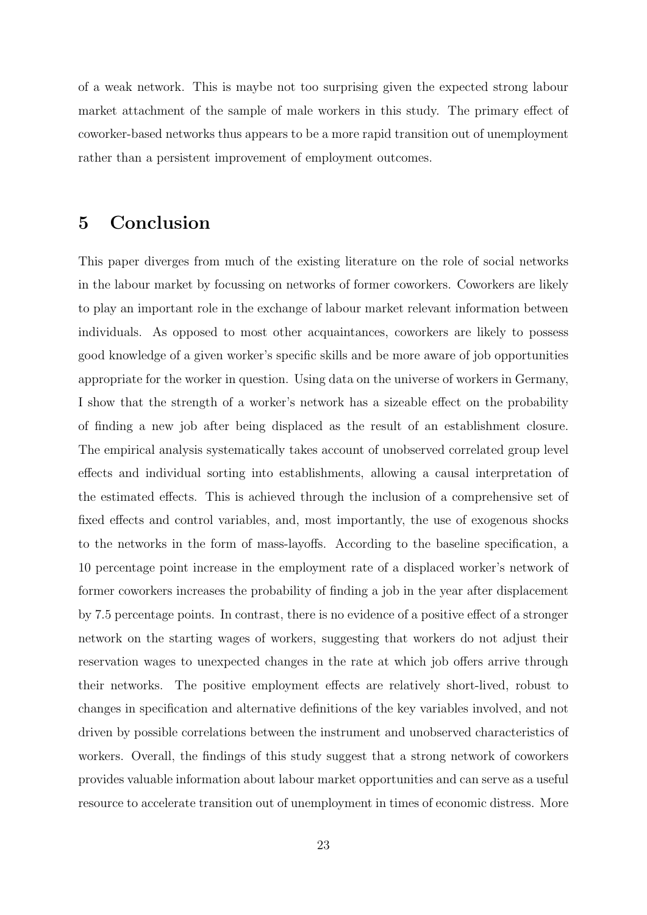of a weak network. This is maybe not too surprising given the expected strong labour market attachment of the sample of male workers in this study. The primary effect of coworker-based networks thus appears to be a more rapid transition out of unemployment rather than a persistent improvement of employment outcomes.

## 5 Conclusion

This paper diverges from much of the existing literature on the role of social networks in the labour market by focussing on networks of former coworkers. Coworkers are likely to play an important role in the exchange of labour market relevant information between individuals. As opposed to most other acquaintances, coworkers are likely to possess good knowledge of a given worker's specific skills and be more aware of job opportunities appropriate for the worker in question. Using data on the universe of workers in Germany, I show that the strength of a worker's network has a sizeable effect on the probability of finding a new job after being displaced as the result of an establishment closure. The empirical analysis systematically takes account of unobserved correlated group level effects and individual sorting into establishments, allowing a causal interpretation of the estimated effects. This is achieved through the inclusion of a comprehensive set of fixed effects and control variables, and, most importantly, the use of exogenous shocks to the networks in the form of mass-layoffs. According to the baseline specification, a 10 percentage point increase in the employment rate of a displaced worker's network of former coworkers increases the probability of finding a job in the year after displacement by 7.5 percentage points. In contrast, there is no evidence of a positive effect of a stronger network on the starting wages of workers, suggesting that workers do not adjust their reservation wages to unexpected changes in the rate at which job offers arrive through their networks. The positive employment effects are relatively short-lived, robust to changes in specification and alternative definitions of the key variables involved, and not driven by possible correlations between the instrument and unobserved characteristics of workers. Overall, the findings of this study suggest that a strong network of coworkers provides valuable information about labour market opportunities and can serve as a useful resource to accelerate transition out of unemployment in times of economic distress. More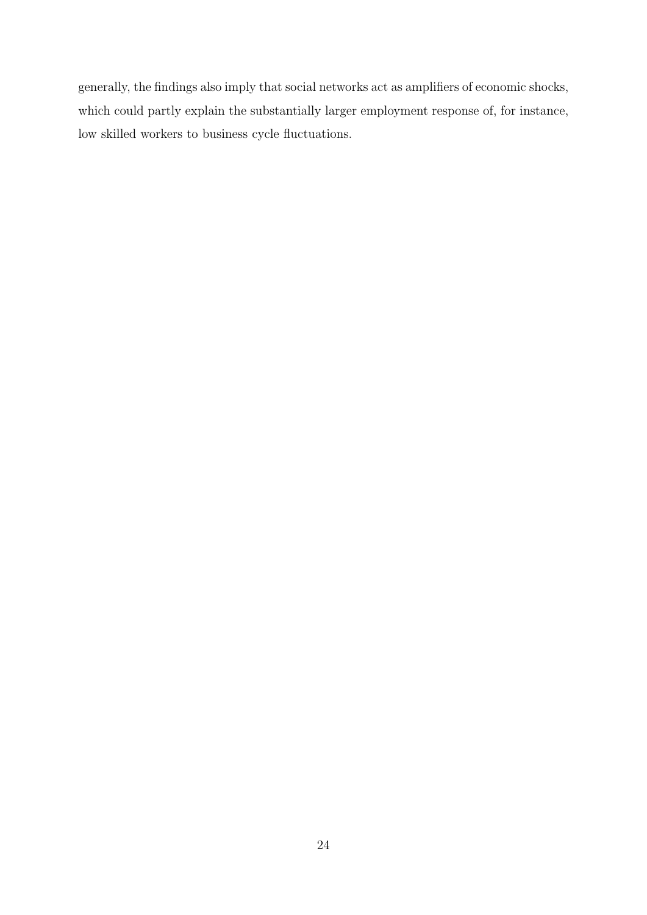generally, the findings also imply that social networks act as amplifiers of economic shocks, which could partly explain the substantially larger employment response of, for instance, low skilled workers to business cycle fluctuations.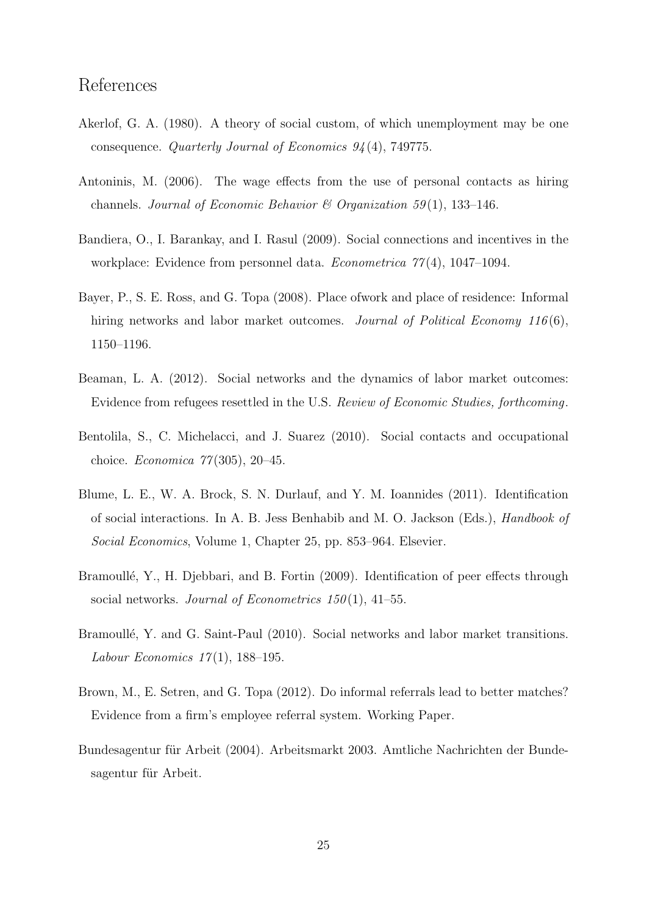# References

- Akerlof, G. A. (1980). A theory of social custom, of which unemployment may be one consequence. Quarterly Journal of Economics  $94(4)$ , 749775.
- Antoninis, M. (2006). The wage effects from the use of personal contacts as hiring channels. Journal of Economic Behavior & Organization 59(1), 133-146.
- Bandiera, O., I. Barankay, and I. Rasul (2009). Social connections and incentives in the workplace: Evidence from personnel data. *Econometrica*  $77(4)$ , 1047–1094.
- Bayer, P., S. E. Ross, and G. Topa (2008). Place ofwork and place of residence: Informal hiring networks and labor market outcomes. Journal of Political Economy 116(6), 1150–1196.
- Beaman, L. A. (2012). Social networks and the dynamics of labor market outcomes: Evidence from refugees resettled in the U.S. Review of Economic Studies, forthcoming.
- Bentolila, S., C. Michelacci, and J. Suarez (2010). Social contacts and occupational choice. Economica 77 (305), 20–45.
- Blume, L. E., W. A. Brock, S. N. Durlauf, and Y. M. Ioannides (2011). Identification of social interactions. In A. B. Jess Benhabib and M. O. Jackson (Eds.), Handbook of Social Economics, Volume 1, Chapter 25, pp. 853–964. Elsevier.
- Bramoullé, Y., H. Djebbari, and B. Fortin (2009). Identification of peer effects through social networks. Journal of Econometrics  $150(1)$ , 41–55.
- Bramoullé, Y. and G. Saint-Paul (2010). Social networks and labor market transitions. Labour Economics  $17(1)$ , 188-195.
- Brown, M., E. Setren, and G. Topa (2012). Do informal referrals lead to better matches? Evidence from a firm's employee referral system. Working Paper.
- Bundesagentur für Arbeit (2004). Arbeitsmarkt 2003. Amtliche Nachrichten der Bundesagentur für Arbeit.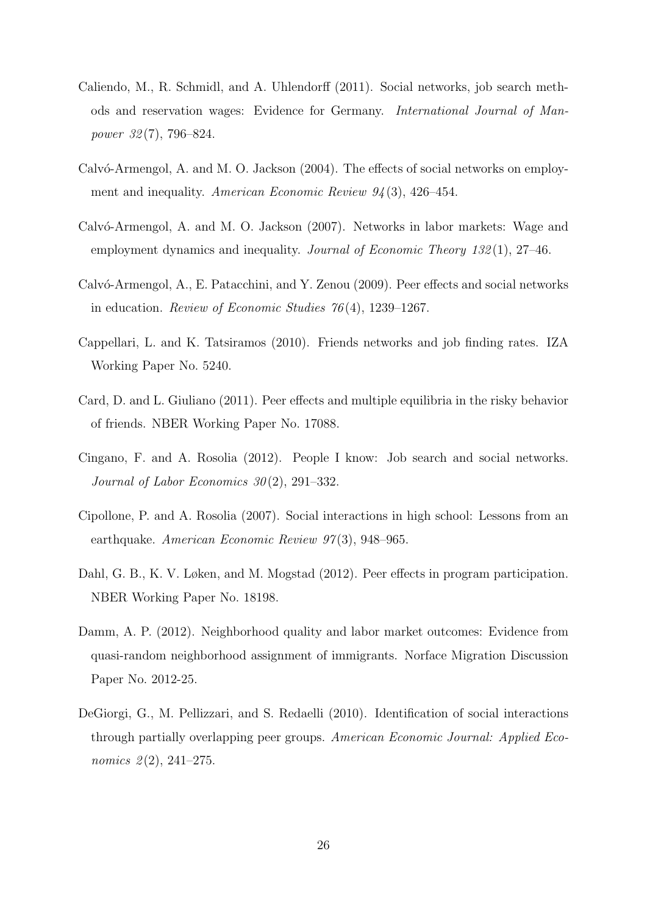- Caliendo, M., R. Schmidl, and A. Uhlendorff (2011). Social networks, job search methods and reservation wages: Evidence for Germany. International Journal of Manpower 32 (7), 796–824.
- Calv $\acute{o}$ -Armengol, A. and M. O. Jackson (2004). The effects of social networks on employment and inequality. American Economic Review  $94(3)$ , 426-454.
- Calvó-Armengol, A. and M. O. Jackson (2007). Networks in labor markets: Wage and employment dynamics and inequality. Journal of Economic Theory 132(1), 27–46.
- Calvó-Armengol, A., E. Patacchini, and Y. Zenou (2009). Peer effects and social networks in education. Review of Economic Studies 76 (4), 1239–1267.
- Cappellari, L. and K. Tatsiramos (2010). Friends networks and job finding rates. IZA Working Paper No. 5240.
- Card, D. and L. Giuliano (2011). Peer effects and multiple equilibria in the risky behavior of friends. NBER Working Paper No. 17088.
- Cingano, F. and A. Rosolia (2012). People I know: Job search and social networks. Journal of Labor Economics  $30(2)$ , 291–332.
- Cipollone, P. and A. Rosolia (2007). Social interactions in high school: Lessons from an earthquake. American Economic Review 97(3), 948–965.
- Dahl, G. B., K. V. Løken, and M. Mogstad (2012). Peer effects in program participation. NBER Working Paper No. 18198.
- Damm, A. P. (2012). Neighborhood quality and labor market outcomes: Evidence from quasi-random neighborhood assignment of immigrants. Norface Migration Discussion Paper No. 2012-25.
- DeGiorgi, G., M. Pellizzari, and S. Redaelli (2010). Identification of social interactions through partially overlapping peer groups. American Economic Journal: Applied Economics  $2(2)$ , 241–275.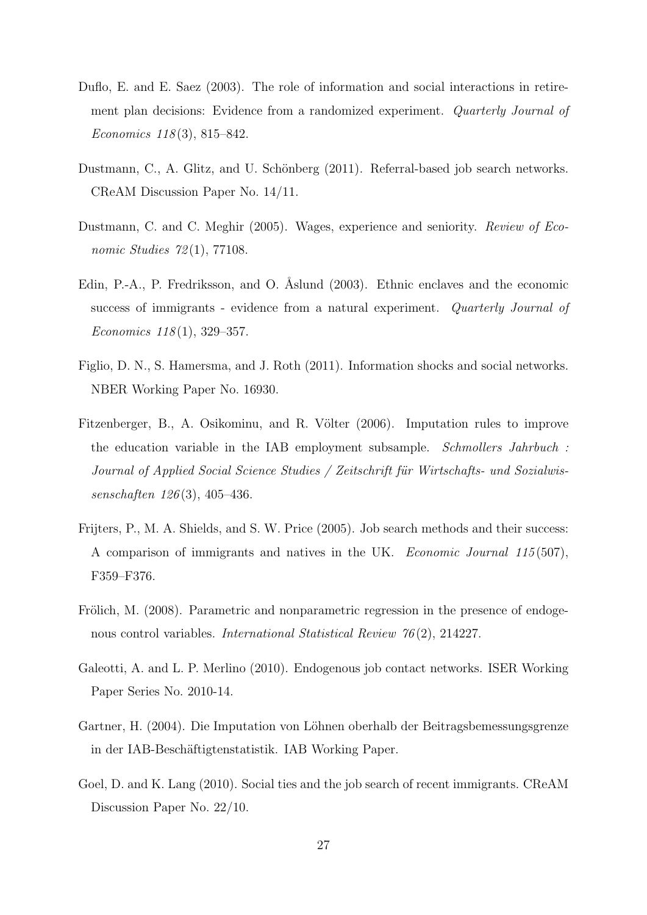- Duflo, E. and E. Saez (2003). The role of information and social interactions in retirement plan decisions: Evidence from a randomized experiment. Quarterly Journal of Economics 118 (3), 815–842.
- Dustmann, C., A. Glitz, and U. Schönberg (2011). Referral-based job search networks. CReAM Discussion Paper No. 14/11.
- Dustmann, C. and C. Meghir (2005). Wages, experience and seniority. Review of Economic Studies 72(1), 77108.
- Edin, P.-A., P. Fredriksson, and O. Åslund (2003). Ethnic enclaves and the economic success of immigrants - evidence from a natural experiment. Quarterly Journal of Economics  $118(1)$ , 329–357.
- Figlio, D. N., S. Hamersma, and J. Roth (2011). Information shocks and social networks. NBER Working Paper No. 16930.
- Fitzenberger, B., A. Osikominu, and R. Völter (2006). Imputation rules to improve the education variable in the IAB employment subsample. Schmollers Jahrbuch : Journal of Applied Social Science Studies / Zeitschrift für Wirtschafts- und Sozialwissenschaften 126 (3), 405–436.
- Frijters, P., M. A. Shields, and S. W. Price (2005). Job search methods and their success: A comparison of immigrants and natives in the UK. Economic Journal 115 (507), F359–F376.
- Frölich, M. (2008). Parametric and nonparametric regression in the presence of endogenous control variables. International Statistical Review 76 (2), 214227.
- Galeotti, A. and L. P. Merlino (2010). Endogenous job contact networks. ISER Working Paper Series No. 2010-14.
- Gartner, H. (2004). Die Imputation von Löhnen oberhalb der Beitragsbemessungsgrenze in der IAB-Beschäftigtenstatistik. IAB Working Paper.
- Goel, D. and K. Lang (2010). Social ties and the job search of recent immigrants. CReAM Discussion Paper No. 22/10.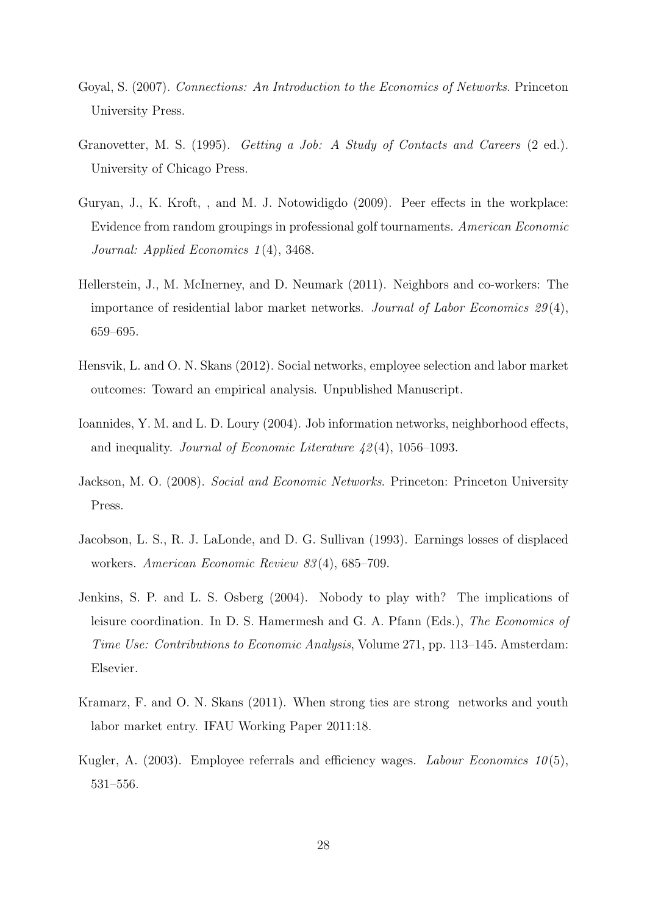- Goyal, S. (2007). Connections: An Introduction to the Economics of Networks. Princeton University Press.
- Granovetter, M. S. (1995). *Getting a Job: A Study of Contacts and Careers* (2 ed.). University of Chicago Press.
- Guryan, J., K. Kroft, , and M. J. Notowidigdo (2009). Peer effects in the workplace: Evidence from random groupings in professional golf tournaments. American Economic Journal: Applied Economics 1 (4), 3468.
- Hellerstein, J., M. McInerney, and D. Neumark (2011). Neighbors and co-workers: The importance of residential labor market networks. Journal of Labor Economics  $29(4)$ , 659–695.
- Hensvik, L. and O. N. Skans (2012). Social networks, employee selection and labor market outcomes: Toward an empirical analysis. Unpublished Manuscript.
- Ioannides, Y. M. and L. D. Loury (2004). Job information networks, neighborhood effects, and inequality. Journal of Economic Literature  $\mu$ 2(4), 1056–1093.
- Jackson, M. O. (2008). Social and Economic Networks. Princeton: Princeton University Press.
- Jacobson, L. S., R. J. LaLonde, and D. G. Sullivan (1993). Earnings losses of displaced workers. American Economic Review 83 (4), 685–709.
- Jenkins, S. P. and L. S. Osberg (2004). Nobody to play with? The implications of leisure coordination. In D. S. Hamermesh and G. A. Pfann (Eds.), The Economics of Time Use: Contributions to Economic Analysis, Volume 271, pp. 113–145. Amsterdam: Elsevier.
- Kramarz, F. and O. N. Skans (2011). When strong ties are strong networks and youth labor market entry. IFAU Working Paper 2011:18.
- Kugler, A.  $(2003)$ . Employee referrals and efficiency wages. *Labour Economics* 10(5), 531–556.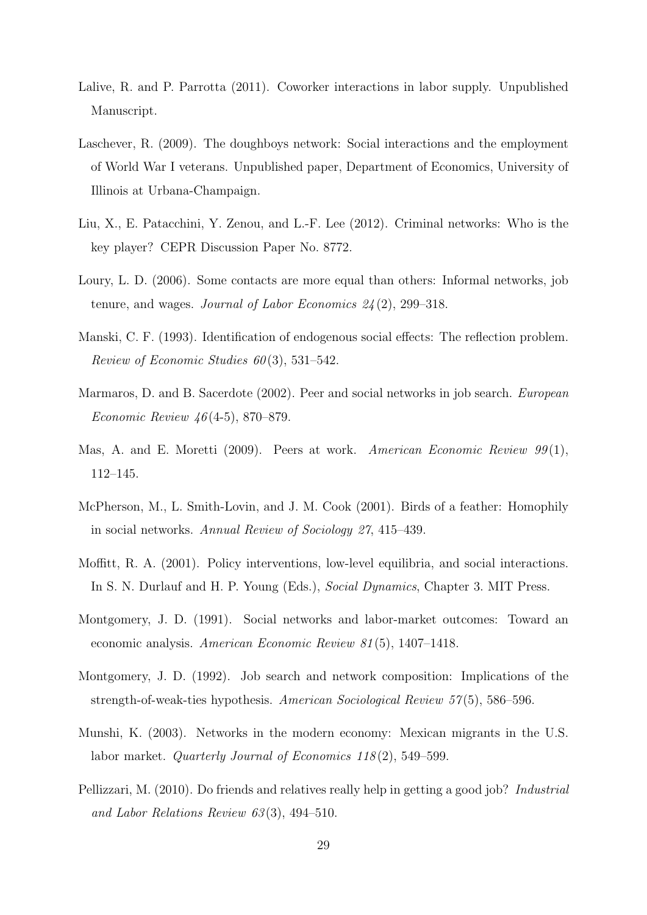- Lalive, R. and P. Parrotta (2011). Coworker interactions in labor supply. Unpublished Manuscript.
- Laschever, R. (2009). The doughboys network: Social interactions and the employment of World War I veterans. Unpublished paper, Department of Economics, University of Illinois at Urbana-Champaign.
- Liu, X., E. Patacchini, Y. Zenou, and L.-F. Lee (2012). Criminal networks: Who is the key player? CEPR Discussion Paper No. 8772.
- Loury, L. D. (2006). Some contacts are more equal than others: Informal networks, job tenure, and wages. Journal of Labor Economics  $24(2)$ , 299–318.
- Manski, C. F. (1993). Identification of endogenous social effects: The reflection problem. Review of Economic Studies  $60(3)$ , 531–542.
- Marmaros, D. and B. Sacerdote (2002). Peer and social networks in job search. European Economic Review 46 (4-5), 870–879.
- Mas, A. and E. Moretti (2009). Peers at work. American Economic Review 99(1), 112–145.
- McPherson, M., L. Smith-Lovin, and J. M. Cook (2001). Birds of a feather: Homophily in social networks. Annual Review of Sociology 27, 415–439.
- Moffitt, R. A. (2001). Policy interventions, low-level equilibria, and social interactions. In S. N. Durlauf and H. P. Young (Eds.), Social Dynamics, Chapter 3. MIT Press.
- Montgomery, J. D. (1991). Social networks and labor-market outcomes: Toward an economic analysis. American Economic Review 81 (5), 1407–1418.
- Montgomery, J. D. (1992). Job search and network composition: Implications of the strength-of-weak-ties hypothesis. American Sociological Review 57 (5), 586–596.
- Munshi, K. (2003). Networks in the modern economy: Mexican migrants in the U.S. labor market. *Quarterly Journal of Economics 118*(2), 549–599.
- Pellizzari, M. (2010). Do friends and relatives really help in getting a good job? *Industrial* and Labor Relations Review  $63(3)$ , 494–510.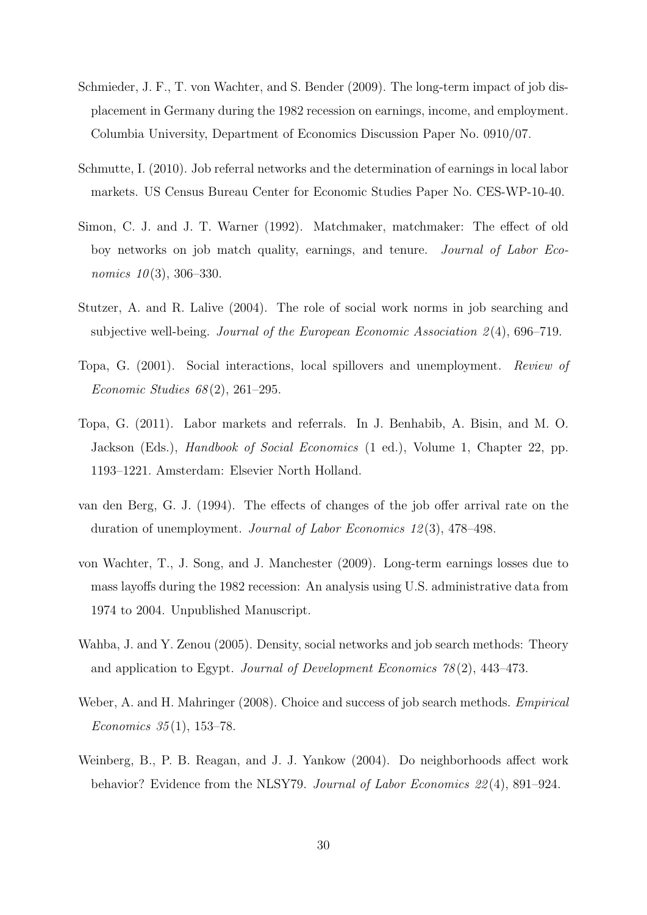- Schmieder, J. F., T. von Wachter, and S. Bender (2009). The long-term impact of job displacement in Germany during the 1982 recession on earnings, income, and employment. Columbia University, Department of Economics Discussion Paper No. 0910/07.
- Schmutte, I. (2010). Job referral networks and the determination of earnings in local labor markets. US Census Bureau Center for Economic Studies Paper No. CES-WP-10-40.
- Simon, C. J. and J. T. Warner (1992). Matchmaker, matchmaker: The effect of old boy networks on job match quality, earnings, and tenure. Journal of Labor Economics  $10(3)$ , 306–330.
- Stutzer, A. and R. Lalive (2004). The role of social work norms in job searching and subjective well-being. Journal of the European Economic Association  $2(4)$ , 696–719.
- Topa, G. (2001). Social interactions, local spillovers and unemployment. Review of Economic Studies  $68(2)$ , 261–295.
- Topa, G. (2011). Labor markets and referrals. In J. Benhabib, A. Bisin, and M. O. Jackson (Eds.), Handbook of Social Economics (1 ed.), Volume 1, Chapter 22, pp. 1193–1221. Amsterdam: Elsevier North Holland.
- van den Berg, G. J. (1994). The effects of changes of the job offer arrival rate on the duration of unemployment. Journal of Labor Economics 12 (3), 478–498.
- von Wachter, T., J. Song, and J. Manchester (2009). Long-term earnings losses due to mass layoffs during the 1982 recession: An analysis using U.S. administrative data from 1974 to 2004. Unpublished Manuscript.
- Wahba, J. and Y. Zenou (2005). Density, social networks and job search methods: Theory and application to Egypt. Journal of Development Economics  $78(2)$ , 443–473.
- Weber, A. and H. Mahringer (2008). Choice and success of job search methods. *Empirical* Economics  $35(1)$ , 153–78.
- Weinberg, B., P. B. Reagan, and J. J. Yankow (2004). Do neighborhoods affect work behavior? Evidence from the NLSY79. Journal of Labor Economics 22 (4), 891–924.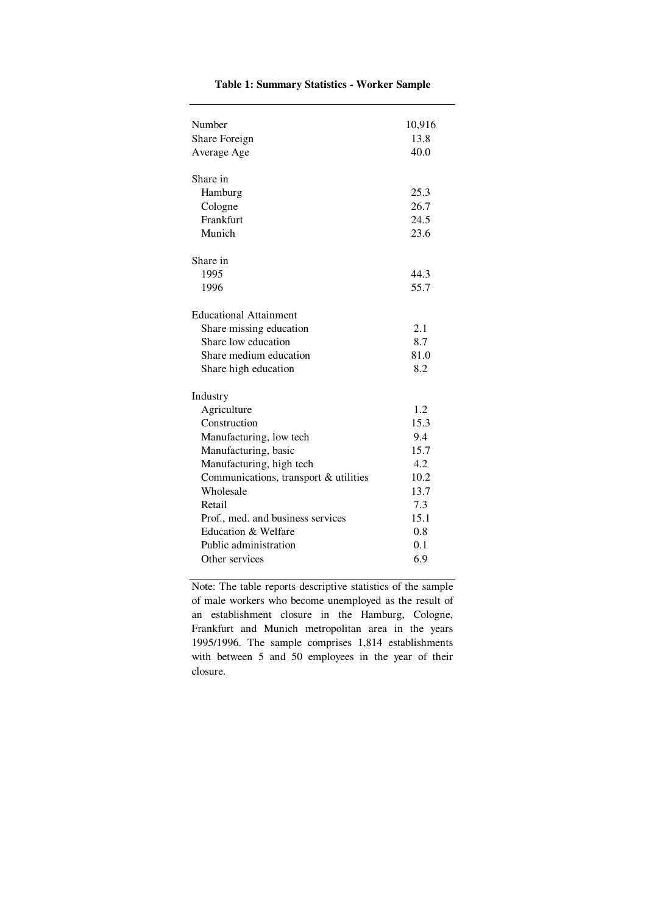| Number                                | 10,916 |
|---------------------------------------|--------|
| Share Foreign                         | 13.8   |
| Average Age                           | 40.0   |
|                                       |        |
| Share in                              |        |
| Hamburg                               | 25.3   |
| Cologne                               | 26.7   |
| Frankfurt                             | 24.5   |
| Munich                                | 23.6   |
|                                       |        |
| Share in                              |        |
| 1995                                  | 44.3   |
| 1996                                  | 55.7   |
|                                       |        |
| <b>Educational Attainment</b>         |        |
| Share missing education               | 2.1    |
| Share low education                   | 8.7    |
| Share medium education                | 81.0   |
| Share high education                  | 8.2    |
| Industry                              |        |
| Agriculture                           | 1.2    |
| Construction                          | 15.3   |
| Manufacturing, low tech               | 9.4    |
| Manufacturing, basic                  | 15.7   |
| Manufacturing, high tech              | 4.2    |
| Communications, transport & utilities | 10.2   |
| Wholesale                             | 13.7   |
| Retail                                | 7.3    |
| Prof., med. and business services     | 15.1   |
| Education & Welfare                   | 0.8    |
| Public administration                 | 0.1    |
| Other services                        | 6.9    |
|                                       |        |

#### **Table 1: Summary Statistics - Worker Sample**

Note: The table reports descriptive statistics of the sample of male workers who become unemployed as the result of an establishment closure in the Hamburg, Cologne, Frankfurt and Munich metropolitan area in the years 1995/1996. The sample comprises 1,814 establishments with between 5 and 50 employees in the year of their closure.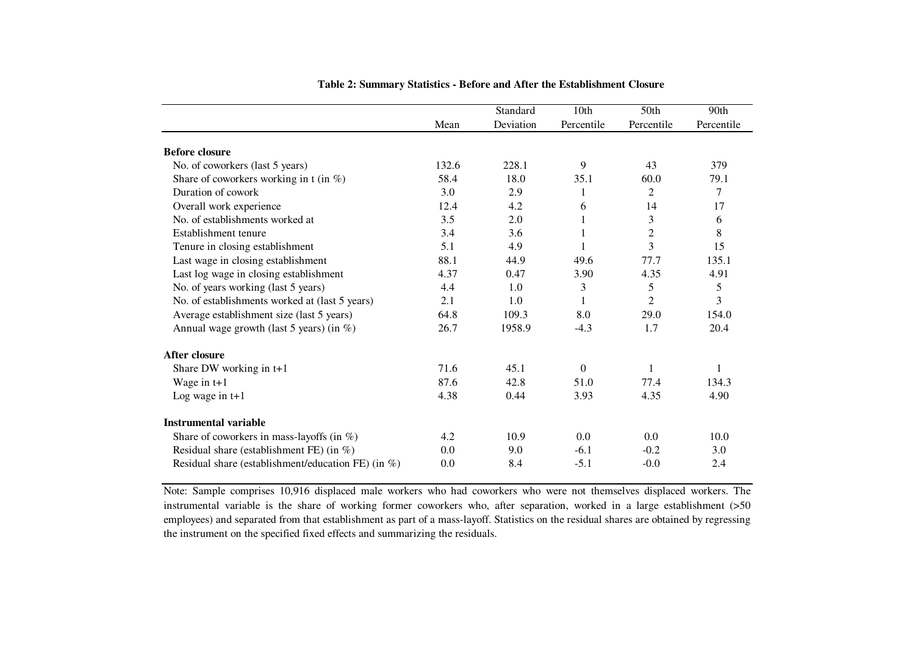|                                                        |       | Standard  | 10th             | 50th           | 90th       |
|--------------------------------------------------------|-------|-----------|------------------|----------------|------------|
|                                                        | Mean  | Deviation | Percentile       | Percentile     | Percentile |
| <b>Before closure</b>                                  |       |           |                  |                |            |
| No. of coworkers (last 5 years)                        | 132.6 | 228.1     | 9                | 43             | 379        |
| Share of coworkers working in t (in $\%$ )             | 58.4  | 18.0      | 35.1             | 60.0           | 79.1       |
| Duration of cowork                                     | 3.0   | 2.9       | 1                | 2              | 7          |
| Overall work experience                                | 12.4  | 4.2       | 6                | 14             | 17         |
| No. of establishments worked at                        | 3.5   | 2.0       | 1                | 3              | 6          |
| Establishment tenure                                   | 3.4   | 3.6       | 1                | $\overline{2}$ | 8          |
| Tenure in closing establishment                        | 5.1   | 4.9       |                  | 3              | 15         |
| Last wage in closing establishment                     | 88.1  | 44.9      | 49.6             | 77.7           | 135.1      |
| Last log wage in closing establishment                 | 4.37  | 0.47      | 3.90             | 4.35           | 4.91       |
| No. of years working (last 5 years)                    | 4.4   | 1.0       | 3                | 5              | 5          |
| No. of establishments worked at (last 5 years)         | 2.1   | 1.0       | 1                | $\overline{2}$ | 3          |
| Average establishment size (last 5 years)              | 64.8  | 109.3     | 8.0              | 29.0           | 154.0      |
| Annual wage growth (last 5 years) (in %)               | 26.7  | 1958.9    | $-4.3$           | 1.7            | 20.4       |
| After closure                                          |       |           |                  |                |            |
| Share DW working in t+1                                | 71.6  | 45.1      | $\boldsymbol{0}$ | 1              | 1          |
| Wage in $t+1$                                          | 87.6  | 42.8      | 51.0             | 77.4           | 134.3      |
| Log wage in $t+1$                                      | 4.38  | 0.44      | 3.93             | 4.35           | 4.90       |
| <b>Instrumental variable</b>                           |       |           |                  |                |            |
| Share of coworkers in mass-layoffs (in $\%$ )          | 4.2   | 10.9      | 0.0              | 0.0            | 10.0       |
| Residual share (establishment FE) (in $\%$ )           | 0.0   | 9.0       | $-6.1$           | $-0.2$         | 3.0        |
| Residual share (establishment/education FE) (in $\%$ ) | 0.0   | 8.4       | $-5.1$           | $-0.0$         | 2.4        |

**Table 2: Summary Statistics - Before and After the Establishment Closure** 

Note: Sample comprises 10,916 displaced male workers who had coworkers who were not themselves displaced workers. The instrumental variable is the share of working former coworkers who, after separation, worked in <sup>a</sup> large establishment (>50 employees) and separated from that establishment as part of a mass-layoff. Statistics on the residual shares are obtained by regressing the instrument on the specified fixed effects and summarizing the residuals.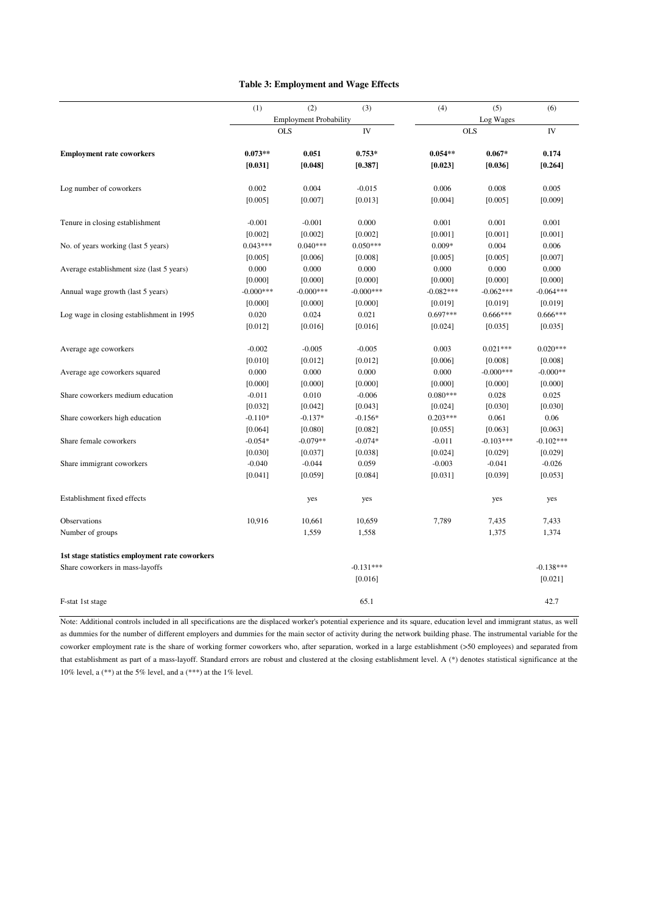#### **Table 3: Employment and Wage Effects**

|                                                | (1)         | (2)                           | (3)         | (4)         | (5)         | (6)         |  |
|------------------------------------------------|-------------|-------------------------------|-------------|-------------|-------------|-------------|--|
|                                                |             | <b>Employment Probability</b> |             |             | Log Wages   |             |  |
|                                                |             | <b>OLS</b>                    | IV          |             | <b>OLS</b>  | IV          |  |
| <b>Employment rate coworkers</b>               | $0.073**$   | 0.051                         | $0.753*$    | $0.054**$   | $0.067*$    | 0.174       |  |
|                                                | [0.031]     | [0.048]                       | [0.387]     | [0.023]     | [0.036]     | [0.264]     |  |
| Log number of coworkers                        | 0.002       | 0.004                         | $-0.015$    | 0.006       | 0.008       | 0.005       |  |
|                                                | [0.005]     | [0.007]                       | [0.013]     | [0.004]     | [0.005]     | [0.009]     |  |
| Tenure in closing establishment                | $-0.001$    | $-0.001$                      | 0.000       | 0.001       | 0.001       | 0.001       |  |
|                                                | [0.002]     | [0.002]                       | [0.002]     | [0.001]     | [0.001]     | [0.001]     |  |
| No. of years working (last 5 years)            | $0.043***$  | $0.040***$                    | $0.050***$  | $0.009*$    | 0.004       | 0.006       |  |
|                                                | [0.005]     | [0.006]                       | [0.008]     | [0.005]     | [0.005]     | [0.007]     |  |
| Average establishment size (last 5 years)      | 0.000       | 0.000                         | 0.000       | 0.000       | 0.000       | 0.000       |  |
|                                                | [0.000]     | [0.000]                       | [0.000]     | [0.000]     | [0.000]     | [0.000]     |  |
| Annual wage growth (last 5 years)              | $-0.000***$ | $-0.000***$                   | $-0.000***$ | $-0.082***$ | $-0.062***$ | $-0.064***$ |  |
|                                                | [0.000]     | [0.000]                       | [0.000]     | [0.019]     | [0.019]     | [0.019]     |  |
| Log wage in closing establishment in 1995      | 0.020       | 0.024                         | 0.021       | $0.697***$  | $0.666***$  | $0.666***$  |  |
|                                                | [0.012]     | [0.016]                       | [0.016]     | [0.024]     | [0.035]     | [0.035]     |  |
| Average age coworkers                          | $-0.002$    | $-0.005$                      | $-0.005$    | 0.003       | $0.021***$  | $0.020***$  |  |
|                                                | [0.010]     | [0.012]                       | [0.012]     | [0.006]     | [0.008]     | [0.008]     |  |
| Average age coworkers squared                  | 0.000       | 0.000                         | 0.000       | 0.000       | $-0.000***$ | $-0.000**$  |  |
|                                                | [0.000]     | [0.000]                       | [0.000]     | [0.000]     | [0.000]     | [0.000]     |  |
| Share coworkers medium education               | $-0.011$    | 0.010                         | $-0.006$    | $0.080***$  | 0.028       | 0.025       |  |
|                                                | [0.032]     | [0.042]                       | [0.043]     | [0.024]     | [0.030]     | [0.030]     |  |
| Share coworkers high education                 | $-0.110*$   | $-0.137*$                     | $-0.156*$   | $0.203***$  | 0.061       | 0.06        |  |
|                                                | [0.064]     | [0.080]                       | [0.082]     | [0.055]     | [0.063]     | [0.063]     |  |
| Share female coworkers                         | $-0.054*$   | $-0.079**$                    | $-0.074*$   | $-0.011$    | $-0.103***$ | $-0.102***$ |  |
|                                                | [0.030]     | [0.037]                       | [0.038]     | [0.024]     | [0.029]     | [0.029]     |  |
| Share immigrant coworkers                      | $-0.040$    | $-0.044$                      | 0.059       | $-0.003$    | $-0.041$    | $-0.026$    |  |
|                                                | [0.041]     | [0.059]                       | [0.084]     | [0.031]     | [0.039]     | [0.053]     |  |
| Establishment fixed effects                    |             | yes                           | yes         |             | yes         | yes         |  |
| Observations                                   | 10,916      | 10,661                        | 10,659      | 7,789       | 7,435       | 7,433       |  |
| Number of groups                               |             | 1,559                         | 1,558       |             | 1,375       | 1,374       |  |
| 1st stage statistics employment rate coworkers |             |                               |             |             |             |             |  |
| Share coworkers in mass-layoffs                |             |                               | $-0.131***$ |             |             | $-0.138***$ |  |
|                                                |             |                               | [0.016]     |             |             | [0.021]     |  |
| F-stat 1st stage                               |             |                               | 65.1        |             |             | 42.7        |  |

Note: Additional controls included in all specifications are the displaced worker's potential experience and its square, education level and immigrant status, as well as dummies for the number of different employers and dummies for the main sector of activity during the network building phase. The instrumental variable for the coworker employment rate is the share of working former coworkers who, after separation, worked in a large establishment (>50 employees) and separated from that establishment as part of a mass-layoff. Standard errors are robust and clustered at the closing establishment level. A (\*) denotes statistical significance at the 10% level, a  $(**)$  at the 5% level, and a  $(***)$  at the 1% level.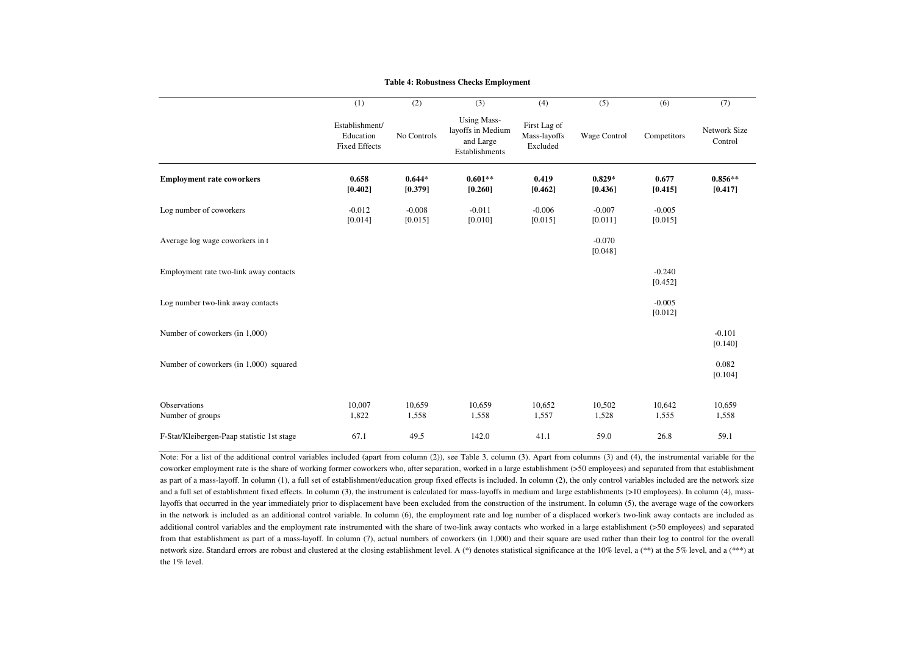#### **Table 4: Robustness Checks Employment**

|                                            | (1)                                                 | (2)                 | (3)                                                                    | (4)                                      | (5)                 | (6)                 | (7)                            |
|--------------------------------------------|-----------------------------------------------------|---------------------|------------------------------------------------------------------------|------------------------------------------|---------------------|---------------------|--------------------------------|
|                                            | Establishment/<br>Education<br><b>Fixed Effects</b> | No Controls         | <b>Using Mass-</b><br>layoffs in Medium<br>and Large<br>Establishments | First Lag of<br>Mass-layoffs<br>Excluded | Wage Control        | Competitors         | <b>Network Size</b><br>Control |
| <b>Employment rate coworkers</b>           | 0.658<br>[0.402]                                    | $0.644*$<br>[0.379] | $0.601**$<br>[0.260]                                                   | 0.419<br>[0.462]                         | $0.829*$<br>[0.436] | 0.677<br>[0.415]    | $0.856**$<br>[0.417]           |
| Log number of coworkers                    | $-0.012$<br>[0.014]                                 | $-0.008$<br>[0.015] | $-0.011$<br>[0.010]                                                    | $-0.006$<br>[0.015]                      | $-0.007$<br>[0.011] | $-0.005$<br>[0.015] |                                |
| Average log wage coworkers in t            |                                                     |                     |                                                                        |                                          | $-0.070$<br>[0.048] |                     |                                |
| Employment rate two-link away contacts     |                                                     |                     |                                                                        |                                          |                     | $-0.240$<br>[0.452] |                                |
| Log number two-link away contacts          |                                                     |                     |                                                                        |                                          |                     | $-0.005$<br>[0.012] |                                |
| Number of coworkers (in 1,000)             |                                                     |                     |                                                                        |                                          |                     |                     | $-0.101$<br>[0.140]            |
| Number of coworkers (in 1,000) squared     |                                                     |                     |                                                                        |                                          |                     |                     | 0.082<br>[0.104]               |
| Observations<br>Number of groups           | 10,007<br>1,822                                     | 10,659<br>1,558     | 10,659<br>1,558                                                        | 10,652<br>1,557                          | 10,502<br>1,528     | 10,642<br>1,555     | 10,659<br>1,558                |
| F-Stat/Kleibergen-Paap statistic 1st stage | 67.1                                                | 49.5                | 142.0                                                                  | 41.1                                     | 59.0                | 26.8                | 59.1                           |

Note: For <sup>a</sup> list of the additional control variables included (apart from column (2)), see Table 3, column (3). Apart from columns (3) and (4), the instrumental variable for the coworker employment rate is the share of working former coworkers who, after separation, worked in <sup>a</sup> large establishment (>50 employees) and separated from that establishmentas par<sup>t</sup> of <sup>a</sup> mass-layoff. In column (1), <sup>a</sup> full set of establishment/education group fixed effects is included. In column (2), the only control variables included are the network size and <sup>a</sup> full set of establishment fixed effects. In column (3), the instrument is calculated for mass-layoffs in medium and large establishments (>10 employees). In column (4), masslayoffs that occurred in the year immediately prior to displacement have been excluded from the construction of the instrument. In column (5), the average wage of the coworkers in the network is included as an additional control variable. In column (6), the employment rate and log number of <sup>a</sup> displaced worker's two-link away contacts are included as additional control variables and the employment rate instrumented with the share of two-link away contacts who worked in <sup>a</sup> large establishment (>50 employees) and separatedfrom that establishment as part of a mass-layoff. In column (7), actual numbers of coworkers (in 1,000) and their square are used rather than their log to control for the overall network size. Standard errors are robust and clustered at the closing establishment level. A (\*) denotes statistical significance at the 10% level, a (\*\*) at the 5% level, and a (\*\*\*) at the 1% level.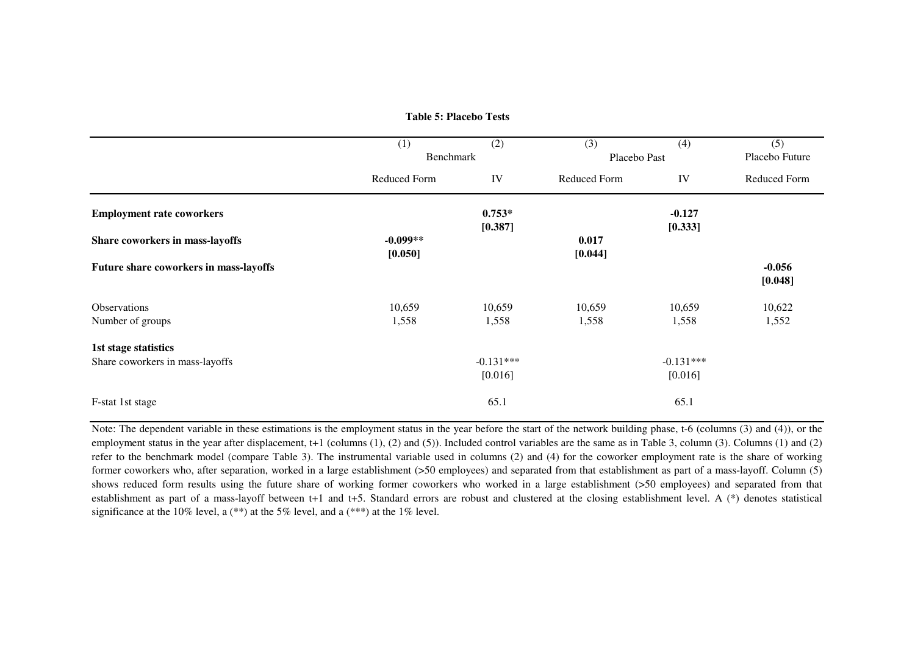|                                        | (1)<br>Benchmark | (2)                 | (3)<br>Placebo Past | (4)                 | (5)<br>Placebo Future |
|----------------------------------------|------------------|---------------------|---------------------|---------------------|-----------------------|
|                                        | Reduced Form     | IV                  | Reduced Form        | IV                  | <b>Reduced Form</b>   |
| <b>Employment rate coworkers</b>       |                  | $0.753*$<br>[0.387] |                     | $-0.127$<br>[0.333] |                       |
| Share coworkers in mass-layoffs        | $-0.099**$       |                     | 0.017               |                     |                       |
|                                        | [0.050]          |                     | [0.044]             |                     |                       |
| Future share coworkers in mass-layoffs |                  |                     |                     |                     | $-0.056$<br>[0.048]   |
| <b>Observations</b>                    | 10,659           | 10,659              | 10,659              | 10,659              | 10,622                |
| Number of groups                       | 1,558            | 1,558               | 1,558               | 1,558               | 1,552                 |
| 1st stage statistics                   |                  |                     |                     |                     |                       |
| Share coworkers in mass-layoffs        |                  | $-0.131***$         |                     | $-0.131***$         |                       |
|                                        |                  | [0.016]             |                     | [0.016]             |                       |
| F-stat 1st stage                       |                  | 65.1                |                     | 65.1                |                       |

**Table 5: Placebo Tests**

Note: The dependent variable in these estimations is the employment status in the year before the start of the network building phase, t-6 (columns (3) and (4)), or theemployment status in the year after displacement, t+1 (columns (1), (2) and (5)). Included control variables are the same as in Table 3, column (3). Columns (1) and (2) refer to the benchmark model (compare Table 3). The instrumental variable used in columns (2) and (4) for the coworker employment rate is the share of working former coworkers who, after separation, worked in <sup>a</sup> large establishment (>50 employees) and separated from that establishment as par<sup>t</sup> of <sup>a</sup> mass-layoff. Column (5) shows reduced form results using the future share of working former coworkers who worked in <sup>a</sup> large establishment (>50 employees) and separated from that establishment as par<sup>t</sup> of <sup>a</sup> mass-layoff between t+1 and t+5. Standard errors are robust and clustered at the closing establishment level. A (\*) denotes statisticalsignificance at the 10% level, a  $(**)$  at the 5% level, and a  $(***)$  at the 1% level.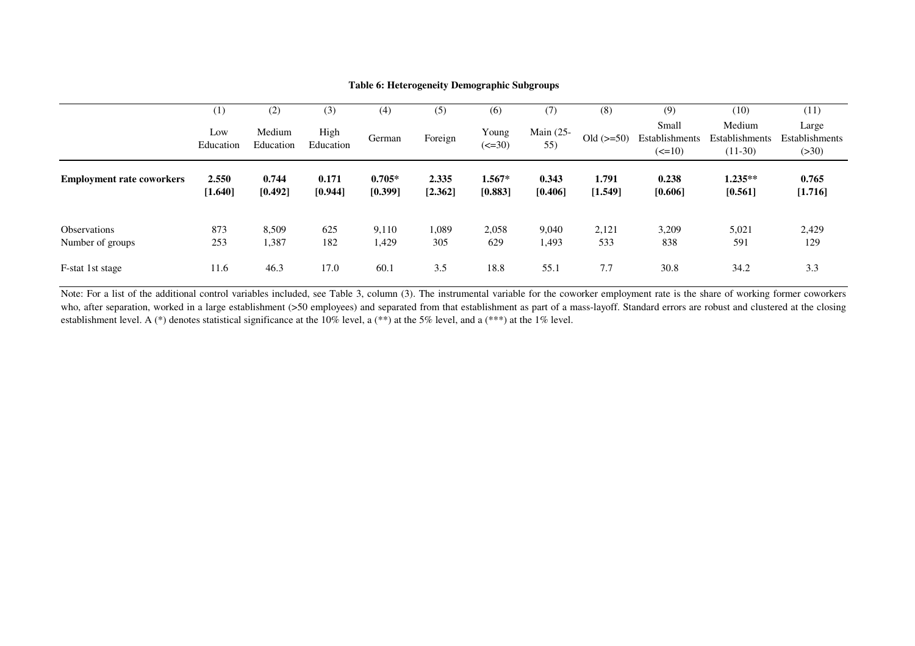|                                  | $\scriptstyle{(1)}$ | (2)                 | (3)               | (4)                 | (5)              | (6)                              | (7)              | (8)              | (9)                                                | (10)                                  | (11)                              |
|----------------------------------|---------------------|---------------------|-------------------|---------------------|------------------|----------------------------------|------------------|------------------|----------------------------------------------------|---------------------------------------|-----------------------------------|
|                                  | Low<br>Education    | Medium<br>Education | High<br>Education | German              | Foreign          | Young<br>$\left( \le 30 \right)$ | Main (25-<br>55) | $Old (> = 50)$   | Small<br>Establishments<br>$\left( \le 10 \right)$ | Medium<br>Establishments<br>$(11-30)$ | Large<br>Establishments<br>( >30) |
| <b>Employment rate coworkers</b> | 2.550<br>[1.640]    | 0.744<br>[0.492]    | 0.171<br>[0.944]  | $0.705*$<br>[0.399] | 2.335<br>[2.362] | $1.567*$<br>[0.883]              | 0.343<br>[0.406] | 1.791<br>[1.549] | 0.238<br>[0.606]                                   | $1.235**$<br>[0.561]                  | 0.765<br>[1.716]                  |
| Observations<br>Number of groups | 873<br>253          | 8,509<br>1,387      | 625<br>182        | 9,110<br>1,429      | 1,089<br>305     | 2,058<br>629                     | 9,040<br>1,493   | 2,121<br>533     | 3,209<br>838                                       | 5,021<br>591                          | 2,429<br>129                      |
| F-stat 1st stage                 | 11.6                | 46.3                | 17.0              | 60.1                | 3.5              | 18.8                             | 55.1             | 7.7              | 30.8                                               | 34.2                                  | 3.3                               |

#### **Table 6: Heterogeneity Demographic Subgroups**

Note: For a list of the additional control variables included, see Table 3, column (3). The instrumental variable for the coworker employment rate is the share of working former coworkers who, after separation, worked in <sup>a</sup> large establishment (>50 employees) and separated from that establishment as par<sup>t</sup> of <sup>a</sup> mass-layoff. Standard errors are robust and clustered at the closing establishment level. A (\*) denotes statistical significance at the 10% level, a (\*\*) at the 5% level, and a (\*\*\*) at the 1% level.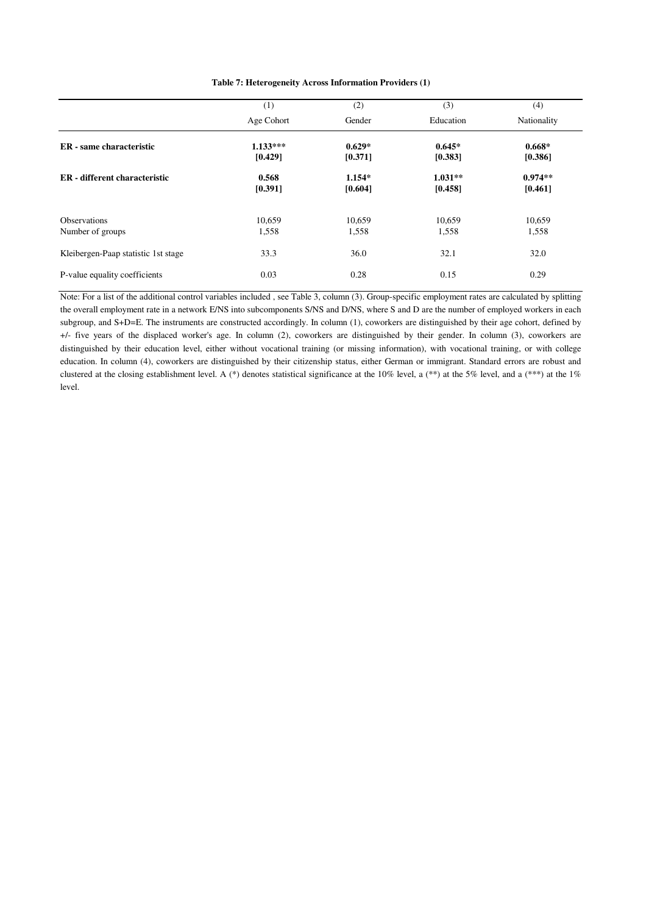| Table 7: Heterogeneity Across Information Providers (1) |
|---------------------------------------------------------|
|---------------------------------------------------------|

|                                     | (1)                   | (2)                 | (3)                  | (4)                  |
|-------------------------------------|-----------------------|---------------------|----------------------|----------------------|
|                                     | Age Cohort            | Gender              | Education            | Nationality          |
| ER - same characteristic            | $1.133***$<br>[0.429] | $0.629*$<br>[0.371] | $0.645*$<br>[0.383]  | $0.668*$<br>[0.386]  |
| ER - different characteristic       | 0.568<br>[0.391]      | $1.154*$<br>[0.604] | $1.031**$<br>[0.458] | $0.974**$<br>[0.461] |
| <b>Observations</b>                 | 10,659                | 10,659              | 10,659               | 10,659               |
| Number of groups                    | 1,558                 | 1,558               | 1,558                | 1,558                |
| Kleibergen-Paap statistic 1st stage | 33.3                  | 36.0                | 32.1                 | 32.0                 |
| P-value equality coefficients       | 0.03                  | 0.28                | 0.15                 | 0.29                 |

Note: For a list of the additional control variables included , see Table 3, column (3). Group-specific employment rates are calculated by splitting the overall employment rate in a network E/NS into subcomponents S/NS and D/NS, where S and D are the number of employed workers in each subgroup, and S+D=E. The instruments are constructed accordingly. In column (1), coworkers are distinguished by their age cohort, defined by +/- five years of the displaced worker's age. In column (2), coworkers are distinguished by their gender. In column (3), coworkers are distinguished by their education level, either without vocational training (or missing information), with vocational training, or with college education. In column (4), coworkers are distinguished by their citizenship status, either German or immigrant. Standard errors are robust and clustered at the closing establishment level. A (\*) denotes statistical significance at the 10% level, a (\*\*) at the 5% level, and a (\*\*\*) at the 1% level.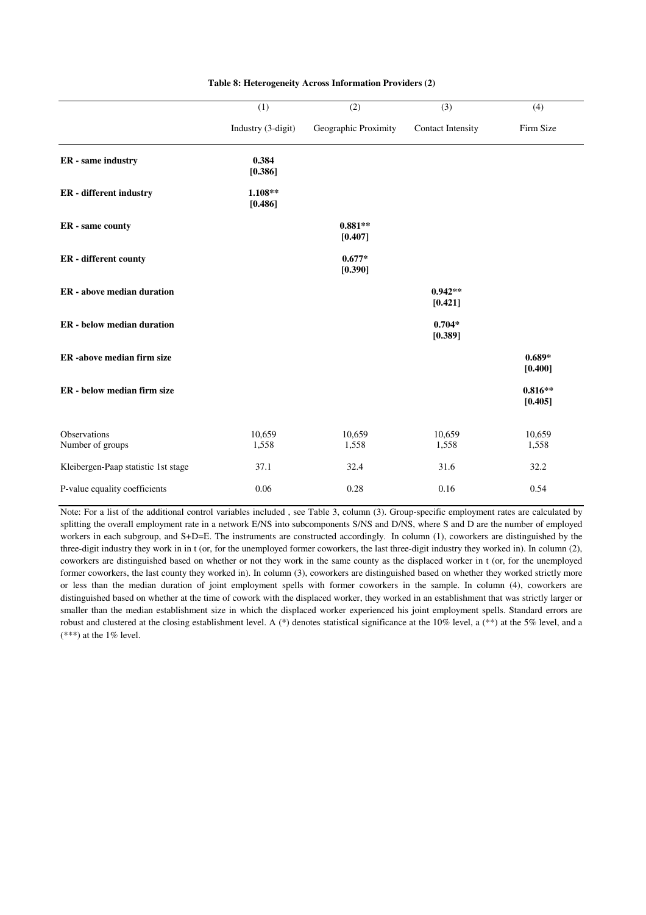|                                     | (1)                  | (2)                  | (3)                      | (4)                  |
|-------------------------------------|----------------------|----------------------|--------------------------|----------------------|
|                                     | Industry (3-digit)   | Geographic Proximity | <b>Contact Intensity</b> | Firm Size            |
| ER - same industry                  | 0.384<br>[0.386]     |                      |                          |                      |
| ER - different industry             | $1.108**$<br>[0.486] |                      |                          |                      |
| ER - same county                    |                      | $0.881**$<br>[0.407] |                          |                      |
| ER - different county               |                      | $0.677*$<br>[0.390]  |                          |                      |
| <b>ER</b> - above median duration   |                      |                      | $0.942**$<br>[0.421]     |                      |
| <b>ER</b> - below median duration   |                      |                      | $0.704*$<br>[0.389]      |                      |
| ER-above median firm size           |                      |                      |                          | $0.689*$<br>[0.400]  |
| ER - below median firm size         |                      |                      |                          | $0.816**$<br>[0.405] |
| Observations<br>Number of groups    | 10,659<br>1,558      | 10,659<br>1,558      | 10,659<br>1,558          | 10,659<br>1,558      |
| Kleibergen-Paap statistic 1st stage | 37.1                 | 32.4                 | 31.6                     | 32.2                 |
| P-value equality coefficients       | 0.06                 | 0.28                 | 0.16                     | 0.54                 |

#### **Table 8: Heterogeneity Across Information Providers (2)**

Note: For a list of the additional control variables included , see Table 3, column (3). Group-specific employment rates are calculated by splitting the overall employment rate in a network E/NS into subcomponents S/NS and D/NS, where S and D are the number of employed workers in each subgroup, and S+D=E. The instruments are constructed accordingly. In column (1), coworkers are distinguished by the three-digit industry they work in in t (or, for the unemployed former coworkers, the last three-digit industry they worked in). In column (2), coworkers are distinguished based on whether or not they work in the same county as the displaced worker in t (or, for the unemployed former coworkers, the last county they worked in). In column (3), coworkers are distinguished based on whether they worked strictly more or less than the median duration of joint employment spells with former coworkers in the sample. In column (4), coworkers are distinguished based on whether at the time of cowork with the displaced worker, they worked in an establishment that was strictly larger or smaller than the median establishment size in which the displaced worker experienced his joint employment spells. Standard errors are robust and clustered at the closing establishment level. A (\*) denotes statistical significance at the 10% level, a (\*\*) at the 5% level, and a  $(***)$  at the 1% level.